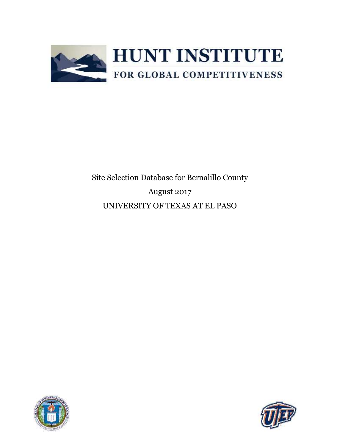

Site Selection Database for Bernalillo County August 2017 UNIVERSITY OF TEXAS AT EL PASO



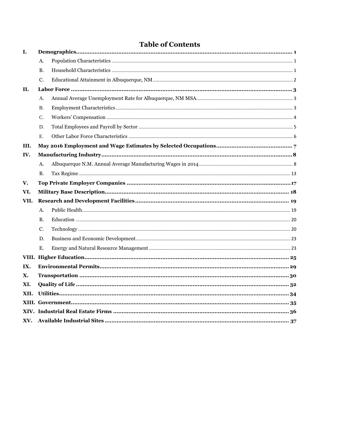|  | <b>Table of Contents</b> |  |
|--|--------------------------|--|
|  |                          |  |

| I.   |           |  |
|------|-----------|--|
|      | А.        |  |
|      | <b>B.</b> |  |
|      | C.        |  |
| П.   |           |  |
|      | А.        |  |
|      | <b>B.</b> |  |
|      | C.        |  |
|      | D.        |  |
|      | Ε.        |  |
| III. |           |  |
| IV.  |           |  |
|      | A.        |  |
|      | <b>B.</b> |  |
| V.   |           |  |
|      |           |  |
| VI.  |           |  |
| VII. |           |  |
|      | A.        |  |
|      | <b>B.</b> |  |
|      | C.        |  |
|      | D.        |  |
|      | Ε.        |  |
|      |           |  |
| IX.  |           |  |
| Х.   |           |  |
| XI.  |           |  |
| XII. |           |  |
|      |           |  |
|      |           |  |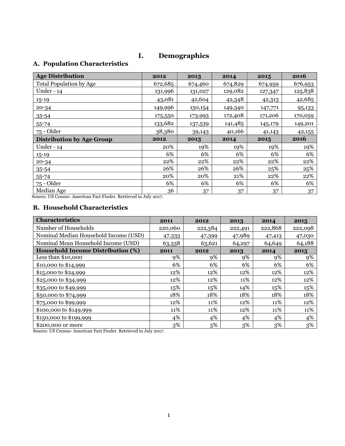### **I. Demographics**

# <span id="page-2-1"></span><span id="page-2-0"></span>**A. Population Characteristics**

| <b>Age Distribution</b>                                                                                             | 2012           | 2013    | 2014    | 2015    | 2016    |
|---------------------------------------------------------------------------------------------------------------------|----------------|---------|---------|---------|---------|
| <b>Total Population by Age</b>                                                                                      | 672,685        | 674,460 | 674,829 | 674,959 | 676,953 |
| Under - 14                                                                                                          | 131,996        | 131,027 | 129,082 | 127,347 | 125,838 |
| $15 - 19$                                                                                                           | 43,081         | 42,604  | 42,348  | 42,313  | 42,685  |
| $20 - 34$                                                                                                           | 149,996        | 150,154 | 149,340 | 147,771 | 95,133  |
| 35-54                                                                                                               | 175,550        | 173,993 | 172,408 | 171,206 | 170,059 |
| $55 - 74$                                                                                                           | 133,682        | 137,539 | 141,485 | 145,179 | 149,201 |
| 75 - Older                                                                                                          | 38,380         | 39,143  | 40,166  | 41,143  | 42,155  |
| <b>Distribution by Age Group</b>                                                                                    | 2012           | 2013    | 2014    | 2015    | 2016    |
| Under - 14                                                                                                          | 20%            | 19%     | 19%     | 19%     | 19%     |
| $15 - 19$                                                                                                           | 6%             | 6%      | 6%      | 6%      | 6%      |
| $20 - 34$                                                                                                           | 22%            | 22%     | 22%     | 22%     | 22%     |
| $35 - 54$                                                                                                           | 26%            | 26%     | 26%     | 25%     | 25%     |
| 55-74                                                                                                               | 20%            | 20%     | 21%     | 22%     | 22%     |
| 75 - Older                                                                                                          | 6%             | 6%      | 6%      | 6%      | 6%      |
| Median Age<br>$\mathbf{m}$ and $\mathbf{m}$ and $\mathbf{m}$ and $\mathbf{m}$<br>$\mathbf{r}$ $\mathbf{r}$ $\alpha$ | 36<br>$\cdots$ | 37      | 37      | 37      | 37      |

Source: US Census- American Fact Finder. Retrieved in July 2017.

#### <span id="page-2-2"></span>**B. Household Characteristics**

| Characteristics                          | 2011    | 2012    | 2013    | 2014    | 2015    |
|------------------------------------------|---------|---------|---------|---------|---------|
| Number of Households                     | 220,060 | 222,584 | 222,491 | 222,868 | 222,098 |
| Nominal Median Household Income (USD)    | 47,333  | 47,399  | 47,989  | 47,413  | 47,030  |
| Nominal Mean Household Income (USD)      | 63,338  | 63,621  | 64,297  | 64,649  | 64,188  |
| <b>Household Income Distribution (%)</b> | 2011    | 2012    | 2013    | 2014    | 2015    |
| Less than $$10,000$                      | 9%      | 9%      | 9%      | 9%      | 9%      |
| \$10,000 to \$14,999                     | 6%      | 6%      | 6%      | 6%      | 6%      |
| \$15,000 to \$24,999                     | 12%     | 12%     | 12%     | 12%     | 12%     |
| \$25,000 to \$34,999                     | 12%     | 12%     | 11%     | 12%     | 12%     |
| \$35,000 to \$49,999                     | 15%     | 15%     | 14%     | 15%     | 15%     |
| \$50,000 to \$74,999                     | 18%     | 18%     | 18%     | 18%     | 18%     |
| \$75,000 to \$99,999                     | 12%     | 11%     | 12%     | 11%     | 12%     |
| \$100,000 to \$149,999                   | 11%     | 11%     | 12%     | 11%     | 11%     |
| \$150,000 to \$199,999                   | 4%      | 4%      | 4%      | 4%      | 4%      |
| \$200,000 or more                        | 3%      | 3%      | 3%      | 3%      | $3\%$   |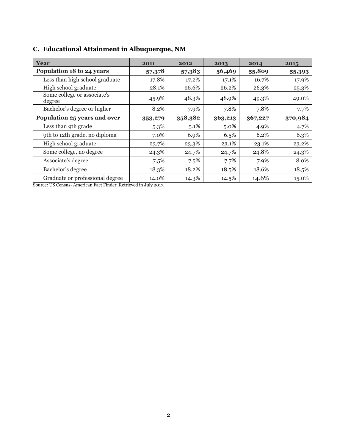| Year                                  | 2011    | 2012    | 2013    | 2014    | 2015    |
|---------------------------------------|---------|---------|---------|---------|---------|
| Population 18 to 24 years             | 57,378  | 57,383  | 56,469  | 55,809  | 55,393  |
| Less than high school graduate        | 17.8%   | 17.2%   | 17.1%   | 16.7%   | 17.9%   |
| High school graduate                  | 28.1%   | 26.6%   | 26.2%   | 26.3%   | 25.3%   |
| Some college or associate's<br>degree | 45.9%   | 48.3%   | 48.9%   | 49.3%   | 49.0%   |
| Bachelor's degree or higher           | 8.2%    | 7.9%    | 7.8%    | 7.8%    | 7.7%    |
| Population 25 years and over          | 353,279 | 358,382 | 363,213 | 367,227 | 370,984 |
| Less than 9th grade                   | $5.3\%$ | 5.1%    | $5.0\%$ | 4.9%    | 4.7%    |
| 9th to 12th grade, no diploma         | 7.0%    | 6.9%    | 6.5%    | 6.2%    | 6.3%    |
| High school graduate                  | 23.7%   | 23.3%   | 23.1%   | 23.1%   | 23.2%   |
| Some college, no degree               | 24.3%   | 24.7%   | 24.7%   | 24.8%   | 24.3%   |
| Associate's degree                    | 7.5%    | 7.5%    | 7.7%    | 7.9%    | 8.0%    |
| Bachelor's degree                     | 18.3%   | 18.2%   | 18.5%   | 18.6%   | 18.5%   |
| Graduate or professional degree       | 14.0%   | 14.3%   | 14.5%   | 14.6%   | 15.0%   |

# <span id="page-3-0"></span>**C. Educational Attainment in Albuquerque, NM**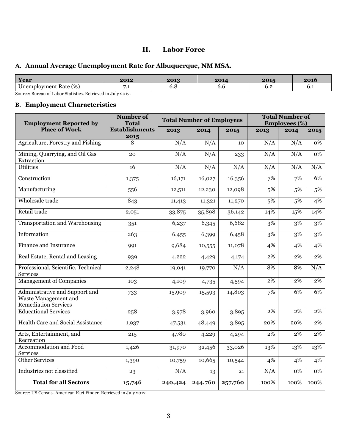### **II. Labor Force**

### <span id="page-4-1"></span><span id="page-4-0"></span>**A. Annual Average Unemployment Rate for Albuquerque, NM MSA.**

| Year                              | 2012 | 2013                          | 901 | 2015             | 4V L        |
|-----------------------------------|------|-------------------------------|-----|------------------|-------------|
| (%)<br>$ -$<br>Jnemployment Rate+ | ـــ  | $\mathbf{v} \cdot \mathbf{v}$ | ν.υ | $\mathsf{u} \in$ | $v \cdot r$ |

Source: Bureau of Labor Statistics. Retrieved in July 2017.

### <span id="page-4-2"></span>**B. Employment Characteristics**

| <b>Employment Reported by</b>                                                         | <b>Number of</b><br><b>Total</b> |         | <b>Total Number of Employees</b> |         | <b>Total Number of</b><br><b>Employees</b> (%) |      |                  |
|---------------------------------------------------------------------------------------|----------------------------------|---------|----------------------------------|---------|------------------------------------------------|------|------------------|
| <b>Place of Work</b>                                                                  | <b>Establishments</b>            | 2013    | 2014                             | 2015    | 2013                                           | 2014 | 2015             |
| Agriculture, Forestry and Fishing                                                     | 2015<br>$\overline{8}$           | N/A     | N/A                              | 10      | N/A                                            | N/A  | 0%               |
| Mining, Quarrying, and Oil Gas<br>Extraction                                          | 20                               | N/A     | N/A                              | 233     | N/A                                            | N/A  | $0\%$            |
| <b>Utilities</b>                                                                      | 16                               | N/A     | N/A                              | N/A     | N/A                                            | N/A  | N/A              |
| Construction                                                                          | 1,375                            | 16,171  | 16,027                           | 16,356  | 7%                                             | 7%   | 6%               |
| Manufacturing                                                                         | 556                              | 12,511  | 12,230                           | 12,098  | 5%                                             | 5%   | 5%               |
| Wholesale trade                                                                       | 843                              | 11,413  | 11,321                           | 11,270  | 5%                                             | 5%   | 4%               |
| Retail trade                                                                          | 2,051                            | 33,875  | 35,898                           | 36,142  | 14%                                            | 15%  | 14%              |
| <b>Transportation and Warehousing</b>                                                 | 351                              | 6,237   | 6,345                            | 6,682   | 3%                                             | 3%   | 3%               |
| Information                                                                           | 263                              | 6,455   | 6,399                            | 6,458   | 3%                                             | 3%   | 3%               |
| <b>Finance and Insurance</b>                                                          | 991                              | 9,684   | 10,555                           | 11,078  | 4%                                             | 4%   | 4%               |
| Real Estate, Rental and Leasing                                                       | 939                              | 4,222   | 4,429                            | 4,174   | 2%                                             | 2%   | 2%               |
| Professional, Scientific. Technical<br><b>Services</b>                                | 2,248                            | 19,041  | 19,770                           | N/A     | 8%                                             | 8%   | N/A              |
| <b>Management of Companies</b>                                                        | 103                              | 4,109   | 4,735                            | 4,594   | 2%                                             | 2%   | 2%               |
| Administrative and Support and<br>Waste Management and<br><b>Remediation Services</b> | 733                              | 15,909  | 15,593                           | 14,803  | 7%                                             | 6%   | 6%               |
| <b>Educational Services</b>                                                           | 258                              | 3,978   | 3,960                            | 3,895   | 2%                                             | 2%   | 2%               |
| <b>Health Care and Social Assistance</b>                                              | 1,937                            | 47,531  | 48,449                           | 3,895   | 20%                                            | 20%  | $\overline{2\%}$ |
| Arts, Entertainment, and<br>Recreation                                                | 215                              | 4,780   | 4,229                            | 4,294   | 2%                                             | 2%   | 2%               |
| Accommodation and Food<br><b>Services</b>                                             | 1,426                            | 31,970  | 32,456                           | 33,026  | 13%                                            | 13%  | 13%              |
| <b>Other Services</b>                                                                 | 1,390                            | 10,759  | 10,665                           | 10,544  | 4%                                             | 4%   | 4%               |
| Industries not classified                                                             | 23                               | N/A     | 13                               | 21      | N/A                                            | 0%   | $\overline{0\%}$ |
| <b>Total for all Sectors</b>                                                          | 15,746                           | 240,424 | 244,760                          | 257,760 | 100%                                           | 100% | 100%             |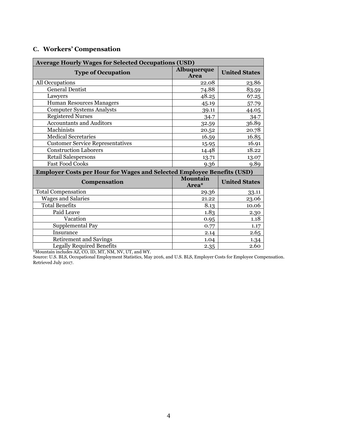<span id="page-5-0"></span>

|  |  |  | C. Workers' Compensation |
|--|--|--|--------------------------|
|--|--|--|--------------------------|

| <b>Average Hourly Wages for Selected Occupations (USD)</b>             |                            |                      |  |  |
|------------------------------------------------------------------------|----------------------------|----------------------|--|--|
| <b>Type of Occupation</b>                                              | Albuquerque<br><b>Area</b> | <b>United States</b> |  |  |
| All Occupations                                                        | 22.08                      | 23.86                |  |  |
| <b>General Dentist</b>                                                 | 74.88                      | 83.59                |  |  |
| Lawyers                                                                | 48.25                      | 67.25                |  |  |
| <b>Human Resources Managers</b>                                        | 45.19                      | 57.79                |  |  |
| <b>Computer Systems Analysts</b>                                       | 39.11                      | 44.05                |  |  |
| <b>Registered Nurses</b>                                               | 34.7                       | 34.7                 |  |  |
| <b>Accountants and Auditors</b>                                        | 32.59                      | 36.89                |  |  |
| Machinists                                                             | 20.52                      | 20.78                |  |  |
| <b>Medical Secretaries</b>                                             | 16.59                      | 16.85                |  |  |
| <b>Customer Service Representatives</b>                                | 15.95                      | 16.91                |  |  |
| <b>Construction Laborers</b>                                           | 14.48                      | 18.22                |  |  |
| Retail Salespersons                                                    | 13.71                      | 13.07                |  |  |
| <b>Fast Food Cooks</b>                                                 | 9.36                       | 9.89                 |  |  |
| Employer Costs per Hour for Wages and Selected Employee Benefits (USD) |                            |                      |  |  |
| Compensation                                                           | <b>Mountain</b><br>Area*   | <b>United States</b> |  |  |
| <b>Total Compensation</b>                                              | 29.36                      | 33.11                |  |  |
| <b>Wages and Salaries</b>                                              | 21.22                      | 23.06                |  |  |
| <b>Total Benefits</b>                                                  | 8.13                       | 10.06                |  |  |
| Paid Leave                                                             | 1.83                       | 2.30                 |  |  |
| Vacation                                                               | 0.95                       | 1.18                 |  |  |
| Supplemental Pay                                                       | 0.77                       | 1.17                 |  |  |
| Insurance                                                              | 2.14                       | 2.65                 |  |  |
| <b>Retirement and Savings</b>                                          | 1.04                       | 1.34                 |  |  |
| <b>Legally Required Benefits</b>                                       | 2.35                       | 2.60                 |  |  |

\*Mountain includes AZ, CO, ID, MT, NM, NV, UT, and WY.

Source: U.S. BLS, Occupational Employment Statistics, May 2016, and U.S. BLS, Employer Costs for Employee Compensation. Retrieved July 2017.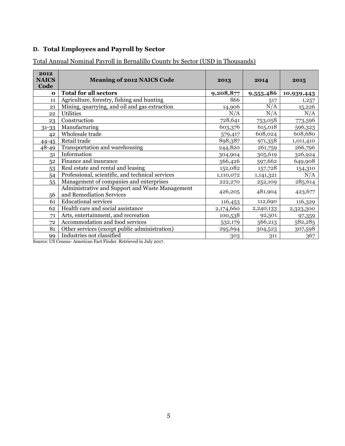# <span id="page-6-0"></span>**D. Total Employees and Payroll by Sector**

| 2012<br><b>NAICS</b><br>Code | <b>Meaning of 2012 NAICS Code</b>                                           | 2013      | 2014      | 2015       |
|------------------------------|-----------------------------------------------------------------------------|-----------|-----------|------------|
| $\mathbf 0$                  | <b>Total for all sectors</b>                                                | 9,208,877 | 9,555,486 | 10,939,443 |
| 11                           | Agriculture, forestry, fishing and hunting                                  | 866       | 517       | 1,257      |
| 21                           | Mining, quarrying, and oil and gas extraction                               | 14,906    | N/A       | 15,226     |
| 22                           | <b>Utilities</b>                                                            | N/A       | N/A       | N/A        |
| 23                           | Construction                                                                | 728,641   | 753,058   | 773,596    |
| 31-33                        | Manufacturing                                                               | 603,376   | 615,018   | 596,323    |
| 42                           | Wholesale trade                                                             | 579,417   | 608,024   | 608,680    |
| $44 - 45$                    | Retail trade                                                                | 898,387   | 971,358   | 1,011,410  |
| $48 - 49$                    | Transportation and warehousing                                              | 244,820   | 261,759   | 266,796    |
| 51                           | Information                                                                 | 304,904   | 305,619   | 326,924    |
| 52                           | Finance and insurance                                                       | 566,426   | 597,662   | 649,908    |
| 53                           | Real estate and rental and leasing                                          | 152,082   | 157,728   | 154,310    |
| 54                           | Professional, scientific, and technical services                            | 1,110,072 | 1,141,321 | N/A        |
| 55                           | Management of companies and enterprises                                     | 222,270   | 252,109   | 285,614    |
| 56                           | Administrative and Support and Waste Management<br>and Remediation Services | 426,205   | 481,904   | 423,677    |
| 61                           | <b>Educational services</b>                                                 | 116,453   | 112,690   | 116,329    |
| 62                           | Health care and social assistance                                           | 2,174,660 | 2,240,133 | 2,323,300  |
| 71                           | Arts, entertainment, and recreation                                         | 100,538   | 92,501    | 97,359     |
| 72                           | Accommodation and food services                                             | 532,179   | 566,213   | 582,285    |
| 81                           | Other services (except public administration)                               | 295,694   | 304,523   | 307,598    |
| 99                           | Industries not classified                                                   | 303       | 311       | 367        |

Total Annual Nominal Payroll in Bernalillo County by Sector (USD in Thousands)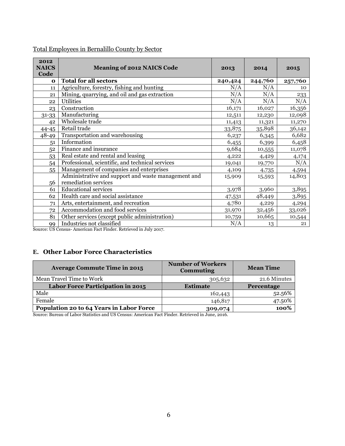| 2012<br><b>NAICS</b><br>Code | <b>Meaning of 2012 NAICS Code</b>                   | 2013    | 2014    | 2015    |
|------------------------------|-----------------------------------------------------|---------|---------|---------|
| $\Omega$                     | <b>Total for all sectors</b>                        | 240,424 | 244,760 | 257,760 |
| 11                           | Agriculture, forestry, fishing and hunting          | N/A     | N/A     | 10      |
| 21                           | Mining, quarrying, and oil and gas extraction       | N/A     | N/A     | 233     |
| 22                           | <b>Utilities</b>                                    | N/A     | N/A     | N/A     |
| 23                           | Construction                                        | 16,171  | 16,027  | 16,356  |
| $31 - 33$                    | Manufacturing                                       | 12,511  | 12,230  | 12,098  |
| 42                           | Wholesale trade                                     | 11,413  | 11,321  | 11,270  |
| $44 - 45$                    | Retail trade                                        | 33,875  | 35,898  | 36,142  |
| $48 - 49$                    | Transportation and warehousing                      | 6,237   | 6,345   | 6,682   |
| 51                           | Information                                         | 6,455   | 6,399   | 6,458   |
| 52                           | Finance and insurance                               | 9,684   | 10,555  | 11,078  |
| 53                           | Real estate and rental and leasing                  | 4,222   | 4,429   | 4,174   |
| 54                           | Professional, scientific, and technical services    | 19,041  | 19,770  | N/A     |
| 55                           | Management of companies and enterprises             | 4,109   | 4,735   | 4,594   |
|                              | Administrative and support and waste management and | 15,909  | 15,593  | 14,803  |
| 56                           | remediation services                                |         |         |         |
| 61                           | <b>Educational services</b>                         | 3,978   | 3,960   | 3,895   |
| 62                           | Health care and social assistance                   | 47,531  | 48,449  | 3,895   |
| 71                           | Arts, entertainment, and recreation                 | 4,780   | 4,229   | 4,294   |
| 72                           | Accommodation and food services                     | 31,970  | 32,456  | 33,026  |
| 81                           | Other services (except public administration)       | 10,759  | 10,665  | 10,544  |
| 99                           | Industries not classified                           | N/A     | 13      | 21      |

### Total Employees in Bernalillo County by Sector

Source: US Census- American Fact Finder. Retrieved in July 2017.

### <span id="page-7-0"></span>**E. Other Labor Force Characteristics**

| <b>Average Commute Time in 2015</b>      | <b>Number of Workers</b><br><b>Commuting</b> | <b>Mean Time</b>  |
|------------------------------------------|----------------------------------------------|-------------------|
| Mean Travel Time to Work                 | 305,632                                      | 21.6 Minutes      |
| Labor Force Participation in 2015        | <b>Estimate</b>                              | <b>Percentage</b> |
| Male                                     | 162,443                                      | 52.56%            |
| Female                                   | 146,817                                      | 47.50%            |
| Population 20 to 64 Years in Labor Force | 309,074                                      | 100%              |

Source: Bureau of Labor Statistics and US Census: American Fact Finder. Retrieved in June, 2016.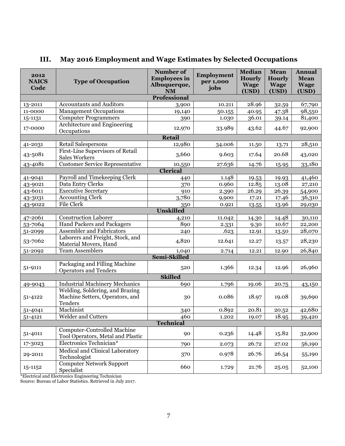| 2012<br><b>NAICS</b><br>Code | <b>Type of Occupation</b>                                                     | <b>Number of</b><br><b>Employees in</b><br>Albuquerque,<br>$\mathbf{NM}$ | Employment<br>per 1,000<br>jobs | <b>Median</b><br><b>Hourly</b><br><b>Wage</b><br>(USD) | Mean<br><b>Hourly</b><br><b>Wage</b><br>(USD) | <b>Annual</b><br><b>Mean</b><br><b>Wage</b><br>(USD) |
|------------------------------|-------------------------------------------------------------------------------|--------------------------------------------------------------------------|---------------------------------|--------------------------------------------------------|-----------------------------------------------|------------------------------------------------------|
|                              |                                                                               | <b>Professional</b>                                                      |                                 |                                                        |                                               |                                                      |
| 13-2011                      | <b>Accountants and Auditors</b>                                               | 3,900                                                                    | 10.211                          | 28.96                                                  | 32.59                                         | 67,790                                               |
| 11-0000                      | <b>Management Occupations</b>                                                 | 19,140                                                                   | 50.155                          | 40.95                                                  | 47.38                                         | 98,550                                               |
| 15-1131                      | <b>Computer Programmers</b>                                                   | 390                                                                      | 1.030                           | 36.01                                                  | 39.14                                         | 81,400                                               |
| 17-0000                      | Architecture and Engineering<br>Occupations                                   | 12,970                                                                   | 33.989                          | 43.62                                                  | 44.67                                         | 92,900                                               |
|                              | <b>Retail</b>                                                                 |                                                                          |                                 |                                                        |                                               |                                                      |
| 41-2031                      | <b>Retail Salespersons</b>                                                    | 12,980                                                                   | 34.006                          | 11.50                                                  | 13.71                                         | 28,510                                               |
| 43-5081                      | First-Line Supervisors of Retail<br><b>Sales Workers</b>                      | 3,660                                                                    | 9.603                           | 17.64                                                  | 20.68                                         | 43,020                                               |
| 43-4081                      | <b>Customer Service Representative</b>                                        | 10,550                                                                   | 27.636                          | 14.76                                                  | 15.95                                         | 33,180                                               |
|                              |                                                                               | <b>Clerical</b>                                                          |                                 |                                                        |                                               |                                                      |
| 41-9041                      | Payroll and Timekeeping Clerk                                                 | 440                                                                      | 1.148                           | 19.53                                                  | 19.93                                         | 41,460                                               |
| 43-9021                      | Data Entry Clerks                                                             | 370                                                                      | 0.960                           | 12.85                                                  | 13.08                                         | 27,210                                               |
| 43-6011                      | <b>Executive Secretary</b>                                                    | 910                                                                      | 2.390                           | 26.29                                                  | 26.39                                         | 54,900                                               |
| 43-3031                      | <b>Accounting Clerk</b>                                                       | 3,780                                                                    | 9,900                           | 17.21                                                  | 17.46                                         | 36,310                                               |
| 43-9022                      | File Clerk                                                                    | 350                                                                      | 0.921                           | 13.55                                                  | 13.96                                         | 29,030                                               |
|                              |                                                                               | <b>Unskilled</b>                                                         |                                 |                                                        |                                               |                                                      |
| 47-2061                      | <b>Construction Laborer</b>                                                   | 4,210                                                                    | 11.042                          | 14.30                                                  | 14.48                                         | 30,110                                               |
| 53-7064                      | <b>Hand Packers and Packagers</b>                                             | 890                                                                      | 2.331                           | 9.30                                                   | 10.67                                         | 22,200                                               |
| 51-2099                      | Assembler and Fabricators                                                     | 240                                                                      | .623                            | 12.91                                                  | 13.50                                         | 28,070                                               |
| 53-7062                      | Laborers and Freight, Stock, and<br>Material Movers, Hand                     | 4,820                                                                    | 12.641                          | 12.27                                                  | 13.57                                         | 28,230                                               |
| 51-2092                      | <b>Team Assemblers</b>                                                        | 1,040                                                                    | 2.714                           | 12.21                                                  | 12.90                                         | 26,840                                               |
|                              |                                                                               | Semi-Skilled                                                             |                                 |                                                        |                                               |                                                      |
| 51-9111                      | Packaging and Filling Machine<br><b>Operators and Tenders</b>                 | 520                                                                      | 1.366                           | 12.34                                                  | 12.96                                         | 26,960                                               |
|                              |                                                                               | <b>Skilled</b>                                                           |                                 |                                                        |                                               |                                                      |
| 49-9043                      | <b>Industrial Machinery Mechanics</b>                                         | 690                                                                      | 1.796                           | 19.06                                                  | 20.75                                         | 43,150                                               |
| 51-4122                      | Welding, Soldering, and Brazing<br>Machine Setters, Operators, and<br>Tenders | 30                                                                       | 0.086                           | 18.97                                                  | 19.08                                         | 39,690                                               |
| 51-4041                      | Machinist                                                                     | 340                                                                      | 0.892                           | 20.81                                                  | 20.52                                         | 42,680                                               |
| 51-4121                      | Welder and Cutters                                                            | 460                                                                      | 1.202                           | 19.07                                                  | 18.95                                         | 39,420                                               |
|                              |                                                                               | <b>Technical</b>                                                         |                                 |                                                        |                                               |                                                      |
| 51-4011                      | <b>Computer-Controlled Machine</b><br>Tool Operators, Metal and Plastic       | 90                                                                       | 0.236                           | 14.48                                                  | 15.82                                         | 32,900                                               |
| 17-3023                      | Electronics Technician*                                                       | 790                                                                      | 2.073                           | 26.72                                                  | 27.02                                         | 56,190                                               |
| 29-2011                      | Medical and Clinical Laboratory<br>Technologist                               | 370                                                                      | 0.978                           | 26.76                                                  | 26.54                                         | 55,190                                               |
| 15-1152                      | <b>Computer Network Support</b><br>Specialist                                 | 660                                                                      | 1.729                           | 21.76                                                  | 25.05                                         | 52,100                                               |

# <span id="page-8-0"></span>**III. May 2016 Employment and Wage Estimates by Selected Occupations**

\*Electrical and Electronics Engineering Technician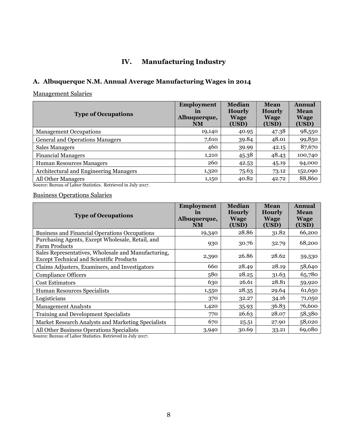# **IV. Manufacturing Industry**

### <span id="page-9-1"></span><span id="page-9-0"></span>**A. Albuquerque N.M. Annual Average Manufacturing Wages in 2014**

### Management Salaries

| <b>Type of Occupations</b>             | <b>Employment</b><br>in<br>Albuquerque,<br><b>NM</b> | <b>Median</b><br><b>Hourly</b><br><b>Wage</b><br>(USD) | Mean<br><b>Hourly</b><br>Wage<br>(USD) | <b>Annual</b><br><b>Mean</b><br><b>Wage</b><br>(USD) |
|----------------------------------------|------------------------------------------------------|--------------------------------------------------------|----------------------------------------|------------------------------------------------------|
| <b>Management Occupations</b>          | 19,140                                               | 40.95                                                  | 47.38                                  | 98,550                                               |
| <b>General and Operations Managers</b> | 7,610                                                | 39.84                                                  | 48.01                                  | 99,850                                               |
| <b>Sales Managers</b>                  | 460                                                  | 39.99                                                  | 42.15                                  | 87,670                                               |
| <b>Financial Managers</b>              | 1,210                                                | 45.38                                                  | 48.43                                  | 100,740                                              |
| Human Resources Managers               | 260                                                  | 42.53                                                  | 45.19                                  | 94,000                                               |
| Architectural and Engineering Managers | 1,320                                                | 75.63                                                  | 73.12                                  | 152,090                                              |
| All Other Managers<br>.                | 1,150                                                | 40.82                                                  | 42.72                                  | 88,860                                               |

Source: Bureau of Labor Statistics. Retrieved in July 2017.

### Business Operations Salaries

| <b>Type of Occupations</b>                                                                                                                                                                                                                                                                                                                                                    | <b>Employment</b><br>in<br>Albuquerque,<br><b>NM</b> | <b>Median</b><br><b>Hourly</b><br><b>Wage</b><br>(USD) | <b>Mean</b><br><b>Hourly</b><br><b>Wage</b><br>(USD) | Annual<br><b>Mean</b><br><b>Wage</b><br>(USD) |
|-------------------------------------------------------------------------------------------------------------------------------------------------------------------------------------------------------------------------------------------------------------------------------------------------------------------------------------------------------------------------------|------------------------------------------------------|--------------------------------------------------------|------------------------------------------------------|-----------------------------------------------|
| <b>Business and Financial Operations Occupations</b>                                                                                                                                                                                                                                                                                                                          | 19,340                                               | 28.86                                                  | 31.82                                                | 66,200                                        |
| Purchasing Agents, Except Wholesale, Retail, and<br><b>Farm Products</b>                                                                                                                                                                                                                                                                                                      | 930                                                  | 30.76                                                  | 32.79                                                | 68,200                                        |
| Sales Representatives, Wholesale and Manufacturing,<br><b>Except Technical and Scientific Products</b>                                                                                                                                                                                                                                                                        | 2,390                                                | 26.86                                                  | 28.62                                                | 59,530                                        |
| Claims Adjusters, Examiners, and Investigators                                                                                                                                                                                                                                                                                                                                | 660                                                  | 28.49                                                  | 28.19                                                | 58,640                                        |
| <b>Compliance Officers</b>                                                                                                                                                                                                                                                                                                                                                    | 580                                                  | 28.25                                                  | 31.63                                                | 65,780                                        |
| <b>Cost Estimators</b>                                                                                                                                                                                                                                                                                                                                                        | 630                                                  | 26.61                                                  | 28.81                                                | 59,920                                        |
| Human Resources Specialists                                                                                                                                                                                                                                                                                                                                                   | 1,550                                                | 28.35                                                  | 29.64                                                | 61,650                                        |
| Logisticians                                                                                                                                                                                                                                                                                                                                                                  | 370                                                  | 32.27                                                  | 34.16                                                | 71,050                                        |
| <b>Management Analysts</b>                                                                                                                                                                                                                                                                                                                                                    | 1,420                                                | 35.93                                                  | 36.83                                                | 76,600                                        |
| <b>Training and Development Specialists</b>                                                                                                                                                                                                                                                                                                                                   | 770                                                  | 26.63                                                  | 28.07                                                | 58,380                                        |
| Market Research Analysts and Marketing Specialists                                                                                                                                                                                                                                                                                                                            | 670                                                  | 25.51                                                  | 27.90                                                | 58,020                                        |
| All Other Business Operations Specialists<br>$\alpha$ and $\alpha$ and $\alpha$ and $\alpha$ and $\alpha$ and $\alpha$ and $\alpha$ and $\alpha$ and $\alpha$ and $\alpha$ and $\alpha$ and $\alpha$ and $\alpha$ and $\alpha$ and $\alpha$ and $\alpha$ and $\alpha$ and $\alpha$ and $\alpha$ and $\alpha$ and $\alpha$ and $\alpha$ and $\alpha$ and $\alpha$ and $\alpha$ | 3,940                                                | 30.69                                                  | 33.21                                                | 69,080                                        |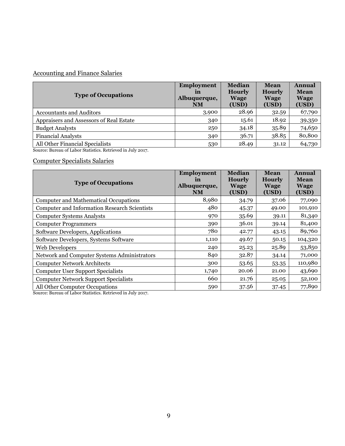# Accounting and Finance Salaries

| <b>Type of Occupations</b>                                                               | <b>Employment</b><br>in<br>Albuquerque,<br><b>NM</b> | <b>Median</b><br><b>Hourly</b><br><b>Wage</b><br>(USD) | Mean<br><b>Hourly</b><br><b>Wage</b><br>(USD) | Annual<br><b>Mean</b><br><b>Wage</b><br>(USD) |
|------------------------------------------------------------------------------------------|------------------------------------------------------|--------------------------------------------------------|-----------------------------------------------|-----------------------------------------------|
| <b>Accountants and Auditors</b>                                                          | 3,900                                                | 28.96                                                  | 32.59                                         | 67,790                                        |
| Appraisers and Assessors of Real Estate                                                  | 340                                                  | 15.61                                                  | 18.92                                         | 39,350                                        |
| <b>Budget Analysts</b>                                                                   | 250                                                  | 34.18                                                  | 35.89                                         | 74,650                                        |
| <b>Financial Analysts</b>                                                                | 340                                                  | 36.71                                                  | 38.85                                         | 80,800                                        |
| All Other Financial Specialists<br>$\alpha$ n $(\tau + \alpha)$ and $\tau + \tau + \tau$ | 530                                                  | 28.49                                                  | 31.12                                         | 64,730                                        |

Source: Bureau of Labor Statistics. Retrieved in July 2017.

### Computer Specialists Salaries

| <b>Type of Occupations</b>                                                       | Employment<br>in<br>Albuquerque,<br><b>NM</b> | <b>Median</b><br><b>Hourly</b><br><b>Wage</b><br>(USD) | Mean<br><b>Hourly</b><br><b>Wage</b><br>(USD) | <b>Annual</b><br><b>Mean</b><br><b>Wage</b><br>(USD) |
|----------------------------------------------------------------------------------|-----------------------------------------------|--------------------------------------------------------|-----------------------------------------------|------------------------------------------------------|
| <b>Computer and Mathematical Occupations</b>                                     | 8,980                                         | 34.79                                                  | 37.06                                         | 77,090                                               |
| <b>Computer and Information Research Scientists</b>                              | 480                                           | 45.37                                                  | 49.00                                         | 101,910                                              |
| <b>Computer Systems Analysts</b>                                                 | 970                                           | 35.69                                                  | 39.11                                         | 81,340                                               |
| <b>Computer Programmers</b>                                                      | 390                                           | 36.01                                                  | 39.14                                         | 81,400                                               |
| Software Developers, Applications                                                | 780                                           | 42.77                                                  | 43.15                                         | 89,760                                               |
| Software Developers, Systems Software                                            | 1,110                                         | 49.67                                                  | 50.15                                         | 104,320                                              |
| Web Developers                                                                   | 240                                           | 25.23                                                  | 25.89                                         | 53,850                                               |
| Network and Computer Systems Administrators                                      | 840                                           | 32.87                                                  | 34.14                                         | 71,000                                               |
| <b>Computer Network Architects</b>                                               | 300                                           | 53.65                                                  | 53.35                                         | 110,980                                              |
| <b>Computer User Support Specialists</b>                                         | 1,740                                         | 20.06                                                  | 21.00                                         | 43,690                                               |
| <b>Computer Network Support Specialists</b>                                      | 660                                           | 21.76                                                  | 25.05                                         | 52,100                                               |
| All Other Computer Occupations<br>$\sigma = 1$ and $\sigma = 1$ and $\sigma = 1$ | 590                                           | 37.56                                                  | 37.45                                         | 77,890                                               |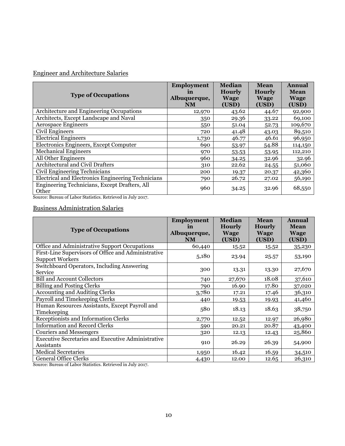# Engineer and Architecture Salaries

| <b>Type of Occupations</b>                                                  | <b>Employment</b><br>in<br>Albuquerque,<br><b>NM</b> | <b>Median</b><br><b>Hourly</b><br><b>Wage</b><br>(USD) | <b>Mean</b><br><b>Hourly</b><br><b>Wage</b><br>(USD) | <b>Annual</b><br><b>Mean</b><br><b>Wage</b><br>(USD) |
|-----------------------------------------------------------------------------|------------------------------------------------------|--------------------------------------------------------|------------------------------------------------------|------------------------------------------------------|
| Architecture and Engineering Occupations                                    | 12,970                                               | 43.62                                                  | 44.67                                                | 92,900                                               |
| Architects, Except Landscape and Naval                                      | 350                                                  | 29.36                                                  | 33.22                                                | 69,100                                               |
| <b>Aerospace Engineers</b>                                                  | 550                                                  | 51.04                                                  | 52.73                                                | 109,670                                              |
| Civil Engineers                                                             | 720                                                  | 41.48                                                  | 43.03                                                | 89,510                                               |
| <b>Electrical Engineers</b>                                                 | 1,730                                                | 46.77                                                  | 46.61                                                | 96,950                                               |
| Electronics Engineers, Except Computer                                      | 690                                                  | 53.97                                                  | 54.88                                                | 114,150                                              |
| <b>Mechanical Engineers</b>                                                 | 970                                                  | 53.53                                                  | 53.95                                                | 112,210                                              |
| All Other Engineers                                                         | 960                                                  | 34.25                                                  | 32.96                                                | 32.96                                                |
| Architectural and Civil Drafters                                            | 310                                                  | 22.62                                                  | 24.55                                                | 51,060                                               |
| Civil Engineering Technicians                                               | 200                                                  | 19.37                                                  | 20.37                                                | 42,360                                               |
| Electrical and Electronics Engineering Technicians                          | 790                                                  | 26.72                                                  | 27.02                                                | 56,190                                               |
| Engineering Technicians, Except Drafters, All<br>Other<br>$0 \rightarrow 0$ | 960                                                  | 34.25                                                  | 32.96                                                | 68,550                                               |

Source: Bureau of Labor Statistics. Retrieved in July 2017.

### Business Administration Salaries

| <b>Type of Occupations</b>                                                    | <b>Employment</b><br><i>in</i><br>Albuquerque,<br><b>NM</b> | <b>Median</b><br><b>Hourly</b><br><b>Wage</b><br>(USD) | <b>Mean</b><br><b>Hourly</b><br><b>Wage</b><br>(USD) | <b>Annual</b><br><b>Mean</b><br><b>Wage</b><br>(USD) |
|-------------------------------------------------------------------------------|-------------------------------------------------------------|--------------------------------------------------------|------------------------------------------------------|------------------------------------------------------|
| Office and Administrative Support Occupations                                 | 60,440                                                      | 15.52                                                  | 15.52                                                | 35,230                                               |
| First-Line Supervisors of Office and Administrative<br><b>Support Workers</b> | 5,180                                                       | 23.94                                                  | 25.57                                                | 53,190                                               |
| Switchboard Operators, Including Answering<br>Service                         | 300                                                         | 13.31                                                  | 13.30                                                | 27,670                                               |
| <b>Bill and Account Collectors</b>                                            | 740                                                         | 27,670                                                 | 18.08                                                | 37,610                                               |
| <b>Billing and Posting Clerks</b>                                             | 790                                                         | 16.90                                                  | 17.80                                                | 37,020                                               |
| <b>Accounting and Auditing Clerks</b>                                         | 3,780                                                       | 17.21                                                  | 17.46                                                | 36,310                                               |
| Payroll and Timekeeping Clerks                                                | 440                                                         | 19.53                                                  | 19.93                                                | 41,460                                               |
| Human Resources Assistants, Except Payroll and<br>Timekeeping                 | 580                                                         | 18.13                                                  | 18.63                                                | 38,750                                               |
| Receptionists and Information Clerks                                          | 2,770                                                       | 12.52                                                  | 12.97                                                | 26,980                                               |
| <b>Information and Record Clerks</b>                                          | 590                                                         | 20.21                                                  | 20.87                                                | 43,400                                               |
| Couriers and Messengers                                                       | 320                                                         | 12.13                                                  | 12.43                                                | 25,860                                               |
| <b>Executive Secretaries and Executive Administrative</b><br>Assistants       | 910                                                         | 26.29                                                  | 26.39                                                | 54,900                                               |
| <b>Medical Secretaries</b>                                                    | 1,950                                                       | 16.42                                                  | 16.59                                                | 34,510                                               |
| <b>General Office Clerks</b>                                                  | 4,430                                                       | 12.00                                                  | 12.65                                                | 26,310                                               |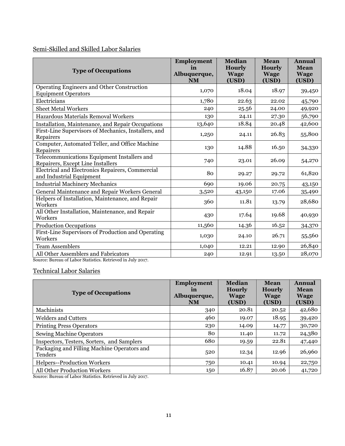### Semi-Skilled and Skilled Labor Salaries

| <b>Type of Occupations</b>                                                                         | <b>Employment</b><br>in<br>Albuquerque,<br><b>NM</b> | <b>Median</b><br><b>Hourly</b><br><b>Wage</b><br>(USD) | <b>Mean</b><br><b>Hourly</b><br><b>Wage</b><br>(USD) | Annual<br>Mean<br><b>Wage</b><br>(USD) |
|----------------------------------------------------------------------------------------------------|------------------------------------------------------|--------------------------------------------------------|------------------------------------------------------|----------------------------------------|
| Operating Engineers and Other Construction<br><b>Equipment Operators</b>                           | 1,070                                                | 18.04                                                  | 18.97                                                | 39,450                                 |
| Electricians                                                                                       | 1,780                                                | 22.63                                                  | 22.02                                                | 45,790                                 |
| <b>Sheet Metal Workers</b>                                                                         | 240                                                  | 25.56                                                  | 24.00                                                | 49,920                                 |
| Hazardous Materials Removal Workers                                                                | 130                                                  | 24.11                                                  | 27.30                                                | 56,790                                 |
| Installation, Maintenance, and Repair Occupations                                                  | 13,640                                               | 18.84                                                  | 20.48                                                | 42,600                                 |
| First-Line Supervisors of Mechanics, Installers, and<br>Repairers                                  | 1,250                                                | 24.11                                                  | 26.83                                                | 55,800                                 |
| Computer, Automated Teller, and Office Machine<br>Repairers                                        | 130                                                  | 14.88                                                  | 16.50                                                | 34,330                                 |
| Telecommunications Equipment Installers and<br>Repairers, Except Line Installers                   | 740                                                  | 23.01                                                  | 26.09                                                | 54,270                                 |
| Electrical and Electronics Repairers, Commercial<br>and Industrial Equipment                       | 80                                                   | 29.27                                                  | 29.72                                                | 61,820                                 |
| <b>Industrial Machinery Mechanics</b>                                                              | 690                                                  | 19.06                                                  | 20.75                                                | 43,150                                 |
| General Maintenance and Repair Workers General                                                     | 3,520                                                | 43,150                                                 | 17.06                                                | 35,490                                 |
| Helpers of Installation, Maintenance, and Repair<br>Workers                                        | 360                                                  | 11.81                                                  | 13.79                                                | 28,680                                 |
| All Other Installation, Maintenance, and Repair<br>Workers                                         | 430                                                  | 17.64                                                  | 19.68                                                | 40,930                                 |
| <b>Production Occupations</b>                                                                      | 11,560                                               | 14.36                                                  | 16.52                                                | 34,370                                 |
| First-Line Supervisors of Production and Operating<br>Workers                                      | 1,030                                                | 24.10                                                  | 26.71                                                | 55,560                                 |
| <b>Team Assemblers</b>                                                                             | 1,040                                                | 12.21                                                  | 12.90                                                | 26,840                                 |
| All Other Assemblers and Fabricators<br>Source: Bureau of Labor Statistics, Retrieved in July 2017 | 240                                                  | 12.91                                                  | 13.50                                                | 28,070                                 |

Source: Bureau of Labor Statistics. Retrieved in July 2017.

### Technical Labor Salaries

| <b>Type of Occupations</b>                             | <b>Employment</b><br>in<br>Albuquerque,<br><b>NM</b> | <b>Median</b><br><b>Hourly</b><br><b>Wage</b><br>(USD) | Mean<br><b>Hourly</b><br><b>Wage</b><br>(USD) | <b>Annual</b><br><b>Mean</b><br><b>Wage</b><br>(USD) |
|--------------------------------------------------------|------------------------------------------------------|--------------------------------------------------------|-----------------------------------------------|------------------------------------------------------|
| Machinists                                             | 340                                                  | 20.81                                                  | 20.52                                         | 42,680                                               |
| <b>Welders and Cutters</b>                             | 460                                                  | 19.07                                                  | 18.95                                         | 39,420                                               |
| <b>Printing Press Operators</b>                        | 230                                                  | 14.09                                                  | 14.77                                         | 30,720                                               |
| <b>Sewing Machine Operators</b>                        | 80                                                   | 11.40                                                  | 11.72                                         | 24,380                                               |
| Inspectors, Testers, Sorters, and Samplers             | 680                                                  | 19.59                                                  | 22.81                                         | 47,440                                               |
| Packaging and Filling Machine Operators and<br>Tenders | 520                                                  | 12.34                                                  | 12.96                                         | 26,960                                               |
| <b>Helpers--Production Workers</b>                     | 750                                                  | 10.41                                                  | 10.94                                         | 22,750                                               |
| All Other Production Workers<br>.                      | 150                                                  | 16.87                                                  | 20.06                                         | 41,720                                               |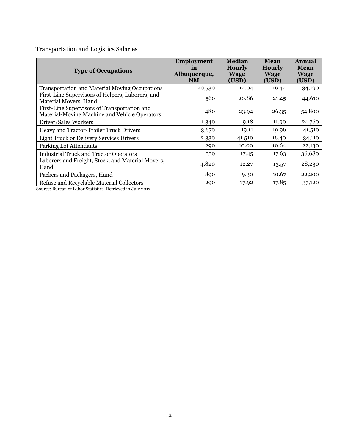### Transportation and Logistics Salaries

| <b>Type of Occupations</b>                                                                              | <b>Employment</b><br>in<br>Albuquerque,<br><b>NM</b> | <b>Median</b><br><b>Hourly</b><br><b>Wage</b><br>(USD) | <b>Mean</b><br><b>Hourly</b><br><b>Wage</b><br>(USD) | <b>Annual</b><br><b>Mean</b><br><b>Wage</b><br>(USD) |
|---------------------------------------------------------------------------------------------------------|------------------------------------------------------|--------------------------------------------------------|------------------------------------------------------|------------------------------------------------------|
| <b>Transportation and Material Moving Occupations</b>                                                   | 20,530                                               | 14.04                                                  | 16.44                                                | 34,190                                               |
| First-Line Supervisors of Helpers, Laborers, and<br>Material Movers, Hand                               | 560                                                  | 20.86                                                  | 21.45                                                | 44,610                                               |
| First-Line Supervisors of Transportation and<br>Material-Moving Machine and Vehicle Operators           | 480                                                  | 23.94                                                  | 26.35                                                | 54,800                                               |
| Driver/Sales Workers                                                                                    | 1,340                                                | 9.18                                                   | 11.90                                                | 24,760                                               |
| Heavy and Tractor-Trailer Truck Drivers                                                                 | 3,670                                                | 19.11                                                  | 19.96                                                | 41,510                                               |
| <b>Light Truck or Delivery Services Drivers</b>                                                         | 2,330                                                | 41,510                                                 | 16.40                                                | 34,110                                               |
| Parking Lot Attendants                                                                                  | 290                                                  | 10.00                                                  | 10.64                                                | 22,130                                               |
| <b>Industrial Truck and Tractor Operators</b>                                                           | 550                                                  | 17.45                                                  | 17.63                                                | 36,680                                               |
| Laborers and Freight, Stock, and Material Movers,<br>Hand                                               | 4,820                                                | 12.27                                                  | 13.57                                                | 28,230                                               |
| Packers and Packagers, Hand                                                                             | 890                                                  | 9.30                                                   | 10.67                                                | 22,200                                               |
| Refuse and Recyclable Material Collectors<br>Course Durant of Labor Chatistics, Detries of in July 0017 | 290                                                  | 17.92                                                  | 17.85                                                | 37,120                                               |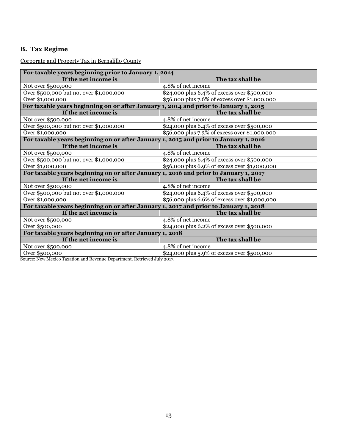### <span id="page-14-0"></span>**B. Tax Regime**

Corporate and Property Tax in Bernalillo County

| For taxable years beginning prior to January 1, 2014                                 |                                               |  |  |
|--------------------------------------------------------------------------------------|-----------------------------------------------|--|--|
| If the net income is                                                                 | The tax shall be                              |  |  |
| Not over \$500,000                                                                   | 4.8% of net income                            |  |  |
| Over \$500,000 but not over \$1,000,000                                              | \$24,000 plus 6.4% of excess over \$500,000   |  |  |
| Over \$1,000,000                                                                     | \$56,000 plus 7.6% of excess over \$1,000,000 |  |  |
| For taxable years beginning on or after January 1, 2014 and prior to January 1, 2015 |                                               |  |  |
| If the net income is                                                                 | The tax shall be                              |  |  |
| Not over \$500,000                                                                   | 4.8% of net income                            |  |  |
| Over \$500,000 but not over \$1,000,000                                              | \$24,000 plus 6.4% of excess over \$500,000   |  |  |
| Over \$1,000,000                                                                     | \$56,000 plus 7.3% of excess over \$1,000,000 |  |  |
| For taxable years beginning on or after January 1, 2015 and prior to January 1, 2016 |                                               |  |  |
| If the net income is                                                                 | The tax shall be                              |  |  |
| Not over \$500,000                                                                   | 4.8% of net income                            |  |  |
| Over \$500,000 but not over \$1,000,000                                              | \$24,000 plus 6.4% of excess over \$500,000   |  |  |
| Over \$1,000,000                                                                     | \$56,000 plus 6.9% of excess over \$1,000,000 |  |  |
| For taxable years beginning on or after January 1, 2016 and prior to January 1, 2017 |                                               |  |  |
| If the net income is                                                                 | The tax shall be                              |  |  |
| Not over \$500,000                                                                   | 4.8% of net income                            |  |  |
| Over \$500,000 but not over \$1,000,000                                              | \$24,000 plus 6.4% of excess over \$500,000   |  |  |
| Over \$1,000,000                                                                     | \$56,000 plus 6.6% of excess over \$1,000,000 |  |  |
| For taxable years beginning on or after January 1, 2017 and prior to January 1, 2018 |                                               |  |  |
| If the net income is                                                                 | The tax shall be                              |  |  |
| Not over \$500,000                                                                   | 4.8% of net income                            |  |  |
| Over \$500,000                                                                       | \$24,000 plus 6.2% of excess over \$500,000   |  |  |
| For taxable years beginning on or after January 1, 2018                              |                                               |  |  |
| If the net income is                                                                 | The tax shall be                              |  |  |
| Not over \$500,000                                                                   | 4.8% of net income                            |  |  |
| Over \$500,000                                                                       | \$24,000 plus 5.9% of excess over \$500,000   |  |  |

Source: New Mexico Taxation and Revenue Department. Retrieved July 2017.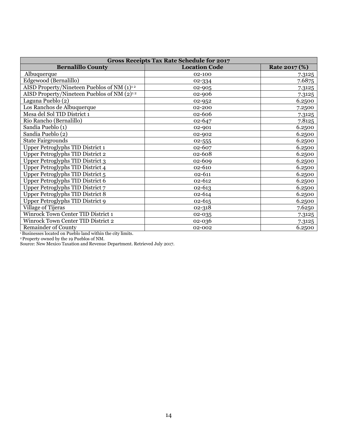| <b>Gross Receipts Tax Rate Schedule for 2017</b>       |                      |               |  |  |
|--------------------------------------------------------|----------------------|---------------|--|--|
| <b>Bernalillo County</b>                               | <b>Location Code</b> | Rate 2017 (%) |  |  |
| Albuquerque                                            | 02-100               | 7.3125        |  |  |
| Edgewood (Bernalillo)                                  | 02-334               | 7.6875        |  |  |
| AISD Property/Nineteen Pueblos of NM (1) <sup>12</sup> | 02-905               | 7.3125        |  |  |
| AISD Property/Nineteen Pueblos of NM $(2)^{12}$        | 02-906               | 7.3125        |  |  |
| Laguna Pueblo (2)                                      | 02-952               | 6.2500        |  |  |
| Los Ranchos de Albuquerque                             | 02-200               | 7.2500        |  |  |
| Mesa del Sol TID District 1                            | 02-606               | 7.3125        |  |  |
| Rio Rancho (Bernalillo)                                | 02-647               | 7.8125        |  |  |
| Sandia Pueblo (1)                                      | 02-901               | 6.2500        |  |  |
| Sandia Pueblo (2)                                      | 02-902               | 6.2500        |  |  |
| <b>State Fairgrounds</b>                               | 02-555               | 6.2500        |  |  |
| <b>Upper Petroglyphs TID District 1</b>                | 02-607               | 6.2500        |  |  |
| <b>Upper Petroglyphs TID District 2</b>                | 02-608               | 6.2500        |  |  |
| <b>Upper Petroglyphs TID District 3</b>                | 02-609               | 6.2500        |  |  |
| Upper Petroglyphs TID District 4                       | 02-610               | 6.2500        |  |  |
| Upper Petroglyphs TID District 5                       | 02-611               | 6.2500        |  |  |
| <b>Upper Petroglyphs TID District 6</b>                | 02-612               | 6.2500        |  |  |
| Upper Petroglyphs TID District 7                       | 02-613               | 6.2500        |  |  |
| <b>Upper Petroglyphs TID District 8</b>                | 02-614               | 6.2500        |  |  |
| Upper Petroglyphs TID District 9                       | $02 - 615$           | 6.2500        |  |  |
| Village of Tijeras                                     | 02-318               | 7.6250        |  |  |
| <b>Winrock Town Center TID District 1</b>              | 02-035               | 7.3125        |  |  |
| <b>Winrock Town Center TID District 2</b>              | 02-036               | 7.3125        |  |  |
| <b>Remainder of County</b>                             | 02-002               | 6.2500        |  |  |

<sup>1</sup>Businesses located on Pueblo land within the city limits.

<sup>2</sup>Property owned by the 19 Pueblos of NM.

Source: New Mexico Taxation and Revenue Department. Retrieved July 2017.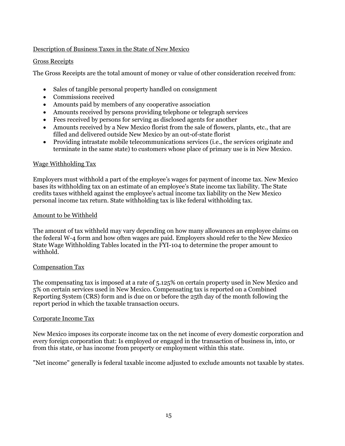#### Description of Business Taxes in the State of New Mexico

#### Gross Receipts

The Gross Receipts are the total amount of money or value of other consideration received from:

- Sales of tangible personal property handled on consignment
- Commissions received
- Amounts paid by members of any cooperative association
- Amounts received by persons providing telephone or telegraph services
- Fees received by persons for serving as disclosed agents for another
- Amounts received by a New Mexico florist from the sale of flowers, plants, etc., that are filled and delivered outside New Mexico by an out-of-state florist
- Providing intrastate mobile telecommunications services (i.e., the services originate and terminate in the same state) to customers whose place of primary use is in New Mexico.

#### Wage Withholding Tax

Employers must withhold a part of the employee's wages for payment of income tax. New Mexico bases its withholding tax on an estimate of an employee's State income tax liability. The State credits taxes withheld against the employee's actual income tax liability on the New Mexico personal income tax return. State withholding tax is like federal withholding tax.

#### Amount to be Withheld

The amount of tax withheld may vary depending on how many allowances an employee claims on the federal W-4 form and how often wages are paid. Employers should refer to the New Mexico State Wage Withholding Tables located in the FYI-104 to determine the proper amount to withhold.

#### Compensation Tax

The compensating tax is imposed at a rate of 5.125% on certain property used in New Mexico and 5% on certain services used in New Mexico. Compensating tax is reported on a Combined Reporting System (CRS) form and is due on or before the 25th day of the month following the report period in which the taxable transaction occurs.

#### Corporate Income Tax

New Mexico imposes its corporate income tax on the net income of every domestic corporation and every foreign corporation that: Is employed or engaged in the transaction of business in, into, or from this state, or has income from property or employment within this state.

"Net income" generally is federal taxable income adjusted to exclude amounts not taxable by states.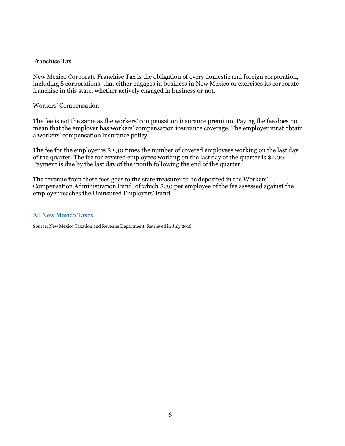#### Franchise Tax

New Mexico Corporate Franchise Tax is the obligation of every domestic and foreign corporation, including S corporations, that either engages in business in New Mexico or exercises its corporate franchise in this state, whether actively engaged in business or not.

#### Workers' Compensation

The fee is not the same as the workers' compensation insurance premium. Paying the fee does not mean that the employer has workers' compensation insurance coverage. The employer must obtain a workers' compensation insurance policy.

The fee for the employer is \$2.30 times the number of covered employees working on the last day of the quarter. The fee for covered employees working on the last day of the quarter is \$2.00. Payment is due by the last day of the month following the end of the quarter.

The revenue from these fees goes to the state treasurer to be deposited in the Workers' Compensation Administration Fund, of which \$.30 per employee of the fee assessed against the employer reaches the Uninsured Employers' Fund.

#### [All New Mexico Taxes.](http://www.tax.newmexico.gov/all-nm-taxes.aspx)

Source: New Mexico Taxation and Revenue Department. Retrieved in July 2016.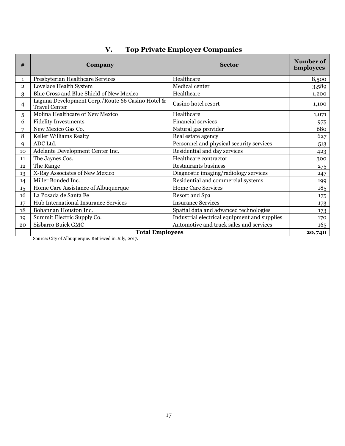<span id="page-18-0"></span>

| #              | Company                                                                  | <b>Sector</b>                                | Number of<br><b>Employees</b> |  |
|----------------|--------------------------------------------------------------------------|----------------------------------------------|-------------------------------|--|
| $\mathbf{1}$   | Presbyterian Healthcare Services                                         | Healthcare                                   | 8,500                         |  |
| $\overline{2}$ | Lovelace Health System                                                   | Medical center                               | 3,589                         |  |
| 3              | Blue Cross and Blue Shield of New Mexico                                 | Healthcare                                   | 1,200                         |  |
| 4              | Laguna Development Corp./Route 66 Casino Hotel &<br><b>Travel Center</b> | Casino hotel resort                          | 1,100                         |  |
| 5              | Molina Healthcare of New Mexico                                          | Healthcare                                   | 1,071                         |  |
| 6              | <b>Fidelity Investments</b>                                              | <b>Financial services</b>                    | 975                           |  |
| 7              | New Mexico Gas Co.                                                       | Natural gas provider                         | 680                           |  |
| 8              | Keller Williams Realty                                                   | Real estate agency                           | 627                           |  |
| 9              | ADC Ltd.                                                                 | Personnel and physical security services     | 513                           |  |
| 10             | Adelante Development Center Inc.                                         | Residential and day services                 | 423                           |  |
| 11             | The Jaynes Cos.                                                          | Healthcare contractor                        | 300                           |  |
| 12             | The Range                                                                | Restaurants business                         | 275                           |  |
| 13             | X-Ray Associates of New Mexico                                           | Diagnostic imaging/radiology services        | 247                           |  |
| 14             | Miller Bonded Inc.                                                       | Residential and commercial systems           | 199                           |  |
| 15             | Home Care Assistance of Albuquerque                                      | <b>Home Care Services</b>                    | 185                           |  |
| 16             | La Posada de Santa Fe                                                    | Resort and Spa                               | 175                           |  |
| 17             | Hub International Insurance Services                                     | <b>Insurance Services</b>                    | 173                           |  |
| 18             | Bohannan Houston Inc.                                                    | Spatial data and advanced technologies       | 173                           |  |
| 19             | Summit Electric Supply Co.                                               | Industrial electrical equipment and supplies | 170                           |  |
| 20             | Sisbarro Buick GMC                                                       | Automotive and truck sales and services      | 165                           |  |
|                | <b>Total Employees</b>                                                   |                                              |                               |  |

# **V. Top Private Employer Companies**

Source: City of Albuquerque. Retrieved in July, 2017.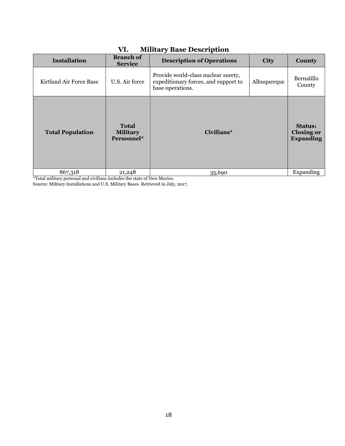| $\ldots$                |                                               |                                                                                                 |             |                                                         |
|-------------------------|-----------------------------------------------|-------------------------------------------------------------------------------------------------|-------------|---------------------------------------------------------|
| <b>Installation</b>     | <b>Branch of</b><br><b>Service</b>            | <b>Description of Operations</b>                                                                | <b>City</b> | County                                                  |
| Kirtland Air Force Base | U.S. Air force                                | Provide world-class nuclear surety,<br>expeditionary forces, and support to<br>base operations. | Albuquerque | Bernalillo<br>County                                    |
| <b>Total Population</b> | <b>Total</b><br><b>Military</b><br>Personnel* | Civilians*                                                                                      |             | <b>Status:</b><br><b>Closing or</b><br><b>Expanding</b> |
| 867,318                 | 21,248                                        | 35,690                                                                                          |             | Expanding                                               |

### <span id="page-19-0"></span>**VI. Military Base Description**

\*Total military personal and civilians includes the state of New Mexico.

Source: Military Installations and U.S. Military Bases. Retrieved in July, 2017.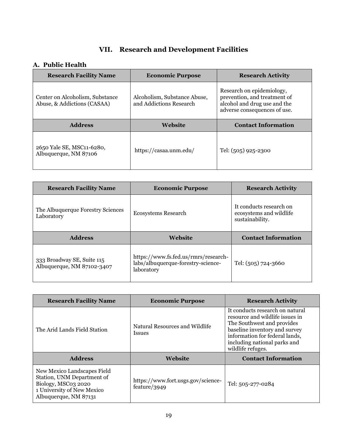# **VII. Research and Development Facilities**

### <span id="page-20-1"></span><span id="page-20-0"></span>**A. Public Health**

| <b>Research Facility Name</b>                                  | <b>Economic Purpose</b>                                 | <b>Research Activity</b>                                                                                                  |
|----------------------------------------------------------------|---------------------------------------------------------|---------------------------------------------------------------------------------------------------------------------------|
| Center on Alcoholism, Substance<br>Abuse, & Addictions (CASAA) | Alcoholism, Substance Abuse,<br>and Addictions Research | Research on epidemiology,<br>prevention, and treatment of<br>alcohol and drug use and the<br>adverse consequences of use. |
| <b>Address</b>                                                 | Website                                                 | <b>Contact Information</b>                                                                                                |
|                                                                |                                                         |                                                                                                                           |

| <b>Research Facility Name</b>                   | <b>Economic Purpose</b> | <b>Research Activity</b>                                              |
|-------------------------------------------------|-------------------------|-----------------------------------------------------------------------|
| The Albuquerque Forestry Sciences<br>Laboratory | Ecosystems Research     | It conducts research on<br>ecosystems and wildlife<br>sustainability. |
|                                                 |                         |                                                                       |
| <b>Address</b>                                  | <b>Website</b>          | <b>Contact Information</b>                                            |

| <b>Research Facility Name</b>                                                                                                           | <b>Economic Purpose</b>                            | <b>Research Activity</b>                                                                                                                                                                                                 |
|-----------------------------------------------------------------------------------------------------------------------------------------|----------------------------------------------------|--------------------------------------------------------------------------------------------------------------------------------------------------------------------------------------------------------------------------|
| The Arid Lands Field Station                                                                                                            | Natural Resources and Wildlife<br><i>Issues</i>    | It conducts research on natural<br>resource and wildlife issues in<br>The Southwest and provides<br>baseline inventory and survey<br>information for federal lands,<br>including national parks and<br>wildlife refuges. |
| <b>Address</b>                                                                                                                          | <b>Website</b>                                     | <b>Contact Information</b>                                                                                                                                                                                               |
| New Mexico Landscapes Field<br>Station, UNM Department of<br>Biology, MSC03 2020<br>1 University of New Mexico<br>Albuquerque, NM 87131 | https://www.fort.usgs.gov/science-<br>feature/3949 | Tel: 505-277-0284                                                                                                                                                                                                        |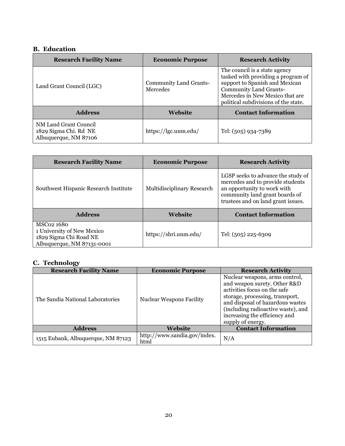### <span id="page-21-0"></span>**B. Education**

| <b>Research Facility Name</b>                                           | <b>Economic Purpose</b>                   | <b>Research Activity</b>                                                                                                                                                                                          |
|-------------------------------------------------------------------------|-------------------------------------------|-------------------------------------------------------------------------------------------------------------------------------------------------------------------------------------------------------------------|
| Land Grant Council (LGC)                                                | <b>Community Land Grants-</b><br>Mercedes | The council is a state agency<br>tasked with providing a program of<br>support to Spanish and Mexican<br><b>Community Land Grants-</b><br>Mercedes in New Mexico that are<br>political subdivisions of the state. |
| <b>Address</b>                                                          | <b>Website</b>                            | <b>Contact Information</b>                                                                                                                                                                                        |
| NM Land Grant Council<br>1829 Sigma Chi. Rd NE<br>Albuquerque, NM 87106 | https://lgc.unm.edu/                      | Tel: (505) 934-7389                                                                                                                                                                                               |

| <b>Research Facility Name</b>                                                                    | <b>Economic Purpose</b>    | <b>Research Activity</b>                                                                                                                                                      |
|--------------------------------------------------------------------------------------------------|----------------------------|-------------------------------------------------------------------------------------------------------------------------------------------------------------------------------|
| Southwest Hispanic Research Institute                                                            | Multidisciplinary Research | LGSP seeks to advance the study of<br>mercedes and to provide students<br>an opportunity to work with<br>community land grant boards of<br>trustees and on land grant issues. |
| <b>Address</b>                                                                                   | Website                    | <b>Contact Information</b>                                                                                                                                                    |
| MSC02 1680<br>1 University of New Mexico<br>1829 Sigma Chi Road NE<br>Albuquerque, NM 87131-0001 | https://shri.unm.edu/      | Tel: (505) 225-6309                                                                                                                                                           |

### <span id="page-21-1"></span>**C. Technology**

| <b>Research Facility Name</b>      | <b>Economic Purpose</b>              | <b>Research Activity</b>                                                                                                                                                                                                                                          |
|------------------------------------|--------------------------------------|-------------------------------------------------------------------------------------------------------------------------------------------------------------------------------------------------------------------------------------------------------------------|
| The Sandia National Laboratories   | <b>Nuclear Weapons Facility</b>      | Nuclear weapons, arms control,<br>and weapon surety. Other R&D<br>activities focus on the safe<br>storage, processing, transport,<br>and disposal of hazardous wastes<br>(including radioactive waste), and<br>increasing the efficiency and<br>supply of energy. |
| <b>Address</b>                     | Website                              | <b>Contact Information</b>                                                                                                                                                                                                                                        |
| 1515 Eubank, Albuquerque, NM 87123 | http://www.sandia.gov/index.<br>html | N/A                                                                                                                                                                                                                                                               |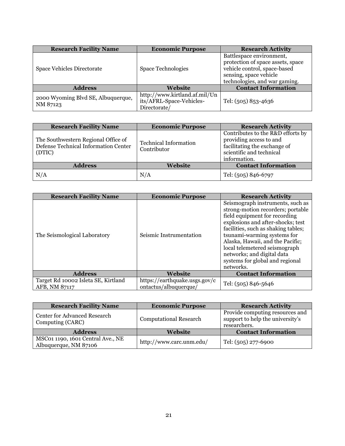| <b>Research Facility Name</b>                  | <b>Economic Purpose</b>                                                   | <b>Research Activity</b>                                                                                                                                 |
|------------------------------------------------|---------------------------------------------------------------------------|----------------------------------------------------------------------------------------------------------------------------------------------------------|
| Space Vehicles Directorate                     | <b>Space Technologies</b>                                                 | Battlespace environment,<br>protection of space assets, space<br>vehicle control, space-based<br>sensing, space vehicle<br>technologies, and war gaming. |
| <b>Address</b>                                 | Website                                                                   | <b>Contact Information</b>                                                                                                                               |
| 2000 Wyoming Blvd SE, Albuquerque,<br>NM 87123 | http://www.kirtland.af.mil/Un<br>its/AFRL-Space-Vehicles-<br>Directorate/ | Tel: (505) 853-4636                                                                                                                                      |

| <b>Research Facility Name</b>                                                         | <b>Economic Purpose</b>                     | <b>Research Activity</b>                                                                                                                 |
|---------------------------------------------------------------------------------------|---------------------------------------------|------------------------------------------------------------------------------------------------------------------------------------------|
| The Southwestern Regional Office of<br>Defense Technical Information Center<br>(DTIC) | <b>Technical Information</b><br>Contributor | Contributes to the R&D efforts by<br>providing access to and<br>facilitating the exchange of<br>scientific and technical<br>information. |
| <b>Address</b>                                                                        | Website                                     | <b>Contact Information</b>                                                                                                               |
| N/A                                                                                   | N/A                                         | Tel: (505) 846-6797                                                                                                                      |

| <b>Research Facility Name</b>                        | <b>Economic Purpose</b>                                | <b>Research Activity</b>                                                                                                                                                                                                                                                                                                                                             |
|------------------------------------------------------|--------------------------------------------------------|----------------------------------------------------------------------------------------------------------------------------------------------------------------------------------------------------------------------------------------------------------------------------------------------------------------------------------------------------------------------|
| The Seismological Laboratory                         | Seismic Instrumentation                                | Seismograph instruments, such as<br>strong-motion recorders; portable<br>field equipment for recording<br>explosions and after-shocks; test<br>facilities, such as shaking tables;<br>tsunami-warming systems for<br>Alaska, Hawaii, and the Pacific;<br>local telemetered seismograph<br>networks; and digital data<br>systems for global and regional<br>networks. |
| <b>Address</b>                                       | <b>Website</b>                                         | <b>Contact Information</b>                                                                                                                                                                                                                                                                                                                                           |
| Target Rd 10002 Isleta SE, Kirtland<br>AFB, NM 87117 | https://earthquake.usgs.gov/c<br>ontactus/albuquerque/ | Tel: (505) 846-5646                                                                                                                                                                                                                                                                                                                                                  |

| <b>Research Facility Name</b>                              | <b>Economic Purpose</b>       | <b>Research Activity</b>                                                            |
|------------------------------------------------------------|-------------------------------|-------------------------------------------------------------------------------------|
| Center for Advanced Research<br>Computing (CARC)           | <b>Computational Research</b> | Provide computing resources and<br>support to help the university's<br>researchers. |
| <b>Address</b>                                             | Website                       | <b>Contact Information</b>                                                          |
| MSC01 1190, 1601 Central Ave., NE<br>Albuquerque, NM 87106 | http://www.carc.unm.edu/      | Tel: (505) 277-6900                                                                 |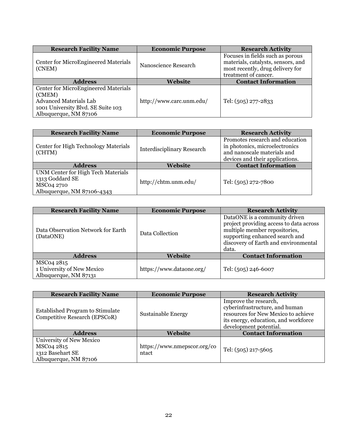| <b>Research Facility Name</b>                                                                                                                         | <b>Economic Purpose</b>  | <b>Research Activity</b>                                                                                                           |
|-------------------------------------------------------------------------------------------------------------------------------------------------------|--------------------------|------------------------------------------------------------------------------------------------------------------------------------|
| <b>Center for MicroEngineered Materials</b><br>(CNEM)                                                                                                 | Nanoscience Research     | Focuses in fields such as porous<br>materials, catalysts, sensors, and<br>most recently, drug delivery for<br>treatment of cancer. |
| <b>Address</b>                                                                                                                                        | Website                  | <b>Contact Information</b>                                                                                                         |
| <b>Center for MicroEngineered Materials</b><br>(CMEM)<br><b>Advanced Materials Lab</b><br>1001 University Blvd. SE Suite 103<br>Albuquerque, NM 87106 | http://www.carc.unm.edu/ | Tel: (505) 277-2833                                                                                                                |

| <b>Research Facility Name</b>                                                       | <b>Economic Purpose</b> | <b>Research Activity</b>                                                                                                            |
|-------------------------------------------------------------------------------------|-------------------------|-------------------------------------------------------------------------------------------------------------------------------------|
| Center for High Technology Materials<br><b>Interdisciplinary Research</b><br>(CHTM) |                         | Promotes research and education<br>in photonics, microelectronics<br>and nanoscale materials and<br>devices and their applications. |
| <b>Address</b>                                                                      | Website                 | <b>Contact Information</b>                                                                                                          |
| UNM Center for High Tech Materials<br>1313 Goddard SE<br>MSC04 2710                 | http://chtm.unm.edu/    | Tel: (505) 272-7800                                                                                                                 |
| Albuquerque, NM 87106-4343                                                          |                         |                                                                                                                                     |

| <b>Research Facility Name</b>                                     | <b>Economic Purpose</b>  | <b>Research Activity</b>                                                                                                                                                                     |
|-------------------------------------------------------------------|--------------------------|----------------------------------------------------------------------------------------------------------------------------------------------------------------------------------------------|
| Data Observation Network for Earth<br>(DataONE)                   | Data Collection          | DataONE is a community driven<br>project providing access to data across<br>multiple member repositories,<br>supporting enhanced search and<br>discovery of Earth and environmental<br>data. |
| <b>Address</b>                                                    | Website                  | <b>Contact Information</b>                                                                                                                                                                   |
| MSC04 2815<br>1 University of New Mexico<br>Albuquerque, NM 87131 | https://www.dataone.org/ | Tel: (505) 246-6007                                                                                                                                                                          |

| <b>Research Facility Name</b>                                                       | <b>Economic Purpose</b>              | <b>Research Activity</b>                                                                                                                                         |
|-------------------------------------------------------------------------------------|--------------------------------------|------------------------------------------------------------------------------------------------------------------------------------------------------------------|
| <b>Established Program to Stimulate</b><br>Competitive Research (EPSCoR)            | <b>Sustainable Energy</b>            | Improve the research,<br>cyberinfrastructure, and human<br>resources for New Mexico to achieve<br>its energy, education, and workforce<br>development potential. |
| <b>Address</b>                                                                      | Website                              | <b>Contact Information</b>                                                                                                                                       |
| University of New Mexico<br>MSC04 2815<br>1312 Basehart SE<br>Albuquerque, NM 87106 | https://www.nmepscor.org/co<br>ntact | Tel: (505) 217-5605                                                                                                                                              |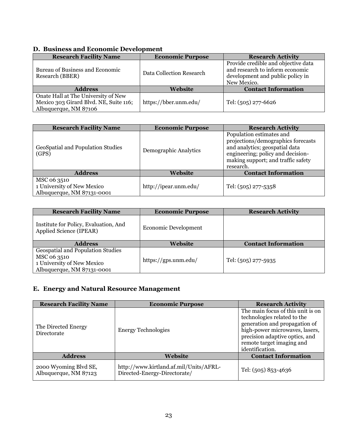### <span id="page-24-0"></span>**D. Business and Economic Development**

| <b>Research Facility Name</b>                                                                          | <b>Economic Purpose</b>  | <b>Research Activity</b>                                                                                                  |
|--------------------------------------------------------------------------------------------------------|--------------------------|---------------------------------------------------------------------------------------------------------------------------|
| Bureau of Business and Economic<br>Research (BBER)                                                     | Data Collection Research | Provide credible and objective data<br>and research to inform economic<br>development and public policy in<br>New Mexico. |
| <b>Address</b>                                                                                         | Website                  | <b>Contact Information</b>                                                                                                |
| Onate Hall at The University of New<br>Mexico 303 Girard Blvd. NE, Suite 116;<br>Albuquerque, NM 87106 | https://bber.unm.edu/    | Tel: (505) 277-6626                                                                                                       |

| <b>Research Facility Name</b>                                           | <b>Economic Purpose</b> | <b>Research Activity</b>                                                                                                                                                                 |
|-------------------------------------------------------------------------|-------------------------|------------------------------------------------------------------------------------------------------------------------------------------------------------------------------------------|
| GeoSpatial and Population Studies<br>(GPS)                              | Demographic Analytics   | Population estimates and<br>projections/demographics forecasts<br>and analytics; geospatial data<br>engineering; policy and decision-<br>making support; and traffic safety<br>research. |
| <b>Address</b><br>Website                                               |                         | <b>Contact Information</b>                                                                                                                                                               |
| MSC 06 3510<br>1 University of New Mexico<br>Albuquerque, NM 87131-0001 | http://ipear.unm.edu/   | Tel: (505) 277-5358                                                                                                                                                                      |

| <b>Research Facility Name</b>                                    | <b>Economic Purpose</b>     | <b>Research Activity</b>   |
|------------------------------------------------------------------|-----------------------------|----------------------------|
| Institute for Policy, Evaluation, And<br>Applied Science (IPEAR) | <b>Economic Development</b> |                            |
| <b>Address</b>                                                   | Website                     | <b>Contact Information</b> |
|                                                                  |                             |                            |
| Geospatial and Population Studies                                |                             |                            |
| MSC 06 3510                                                      |                             |                            |
| 1 University of New Mexico<br>Albuquerque, NM 87131-0001         | https://gps.unm.edu/        | Tel: (505) 277-5935        |

### <span id="page-24-1"></span>**E. Energy and Natural Resource Management**

| <b>Research Facility Name</b>                  | <b>Economic Purpose</b><br><b>Research Activity</b>                    |                                                                                                                                                                                                                       |
|------------------------------------------------|------------------------------------------------------------------------|-----------------------------------------------------------------------------------------------------------------------------------------------------------------------------------------------------------------------|
| The Directed Energy<br>Directorate             | <b>Energy Technologies</b>                                             | The main focus of this unit is on<br>technologies related to the<br>generation and propagation of<br>high-power microwaves, lasers,<br>precision adaptive optics, and<br>remote target imaging and<br>identification. |
| <b>Address</b>                                 | Website                                                                | <b>Contact Information</b>                                                                                                                                                                                            |
| 2000 Wyoming Blvd SE,<br>Albuquerque, NM 87123 | http://www.kirtland.af.mil/Units/AFRL-<br>Directed-Energy-Directorate/ | Tel: (505) 853-4636                                                                                                                                                                                                   |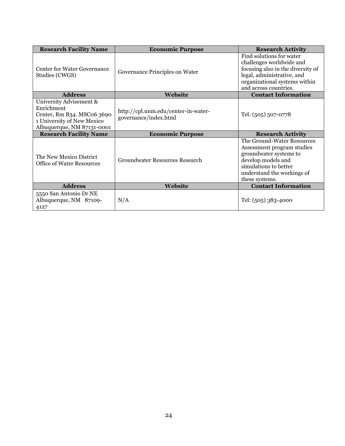| <b>Research Facility Name</b>                                                                                                   | <b>Economic Purpose</b>                                      | <b>Research Activity</b>                                                                                                                                                          |
|---------------------------------------------------------------------------------------------------------------------------------|--------------------------------------------------------------|-----------------------------------------------------------------------------------------------------------------------------------------------------------------------------------|
| Center for Water Governance<br>Studies (CWGS)                                                                                   | Governance Principles on Water                               | Find solutions for water<br>challenges worldwide and<br>focusing also in the diversity of<br>legal, administrative, and<br>organizational systems within<br>and across countries. |
| <b>Address</b>                                                                                                                  | Website                                                      | <b>Contact Information</b>                                                                                                                                                        |
| University Advisement &<br>Enrichment<br>Center, Rm B34. MSC06 3690<br>1 University of New Mexico<br>Albuquerque, NM 87131-0001 | http://cpl.unm.edu/center-in-water-<br>governance/index.html | Tel: (505) 507-0778                                                                                                                                                               |
| <b>Research Facility Name</b>                                                                                                   | <b>Economic Purpose</b>                                      | <b>Research Activity</b>                                                                                                                                                          |
| The New Mexico District<br><b>Groundwater Resources Research</b><br><b>Office of Water Resources</b>                            |                                                              | The Ground-Water Resources<br>Assessment program studies                                                                                                                          |
|                                                                                                                                 |                                                              | groundwater systems to<br>develop models and<br>simulations to better<br>understand the workings of<br>these systems.                                                             |
| <b>Address</b>                                                                                                                  | Website                                                      | <b>Contact Information</b>                                                                                                                                                        |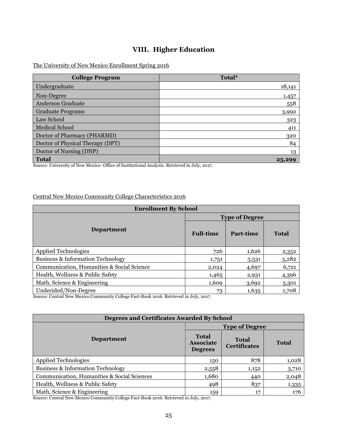### **VIII. Higher Education**

#### <span id="page-26-0"></span>The University of New Mexico Enrollment Spring 2016

| <b>College Program</b>           | Total* |
|----------------------------------|--------|
| Undergraduate                    | 18,141 |
| Non-Degree                       | 1,457  |
| <b>Anderson Graduate</b>         | 558    |
| <b>Graduate Programs</b>         | 3,992  |
| Law School                       | 323    |
| <b>Medical School</b>            | 411    |
| Doctor of Pharmacy (PHARMD)      | 320    |
| Doctor of Physical Therapy (DPT) | 84     |
| Doctor of Nursing (DNP)          | 13     |
| <b>Total</b>                     | 25,299 |

Source: University of New Mexico- Office of Institutional Analysis. Retrieved in July, 2017.

### Central New Mexico Community College Characteristics 2016

| <b>Enrollment By School</b>                                                                                                                                                                                                                                                                                                                                                                                                                                                                               |                       |           |              |
|-----------------------------------------------------------------------------------------------------------------------------------------------------------------------------------------------------------------------------------------------------------------------------------------------------------------------------------------------------------------------------------------------------------------------------------------------------------------------------------------------------------|-----------------------|-----------|--------------|
|                                                                                                                                                                                                                                                                                                                                                                                                                                                                                                           | <b>Type of Degree</b> |           |              |
| <b>Department</b>                                                                                                                                                                                                                                                                                                                                                                                                                                                                                         | <b>Full-time</b>      | Part-time | <b>Total</b> |
| <b>Applied Technologies</b>                                                                                                                                                                                                                                                                                                                                                                                                                                                                               | 726                   | 1,626     | 2,352        |
| <b>Business &amp; Information Technology</b>                                                                                                                                                                                                                                                                                                                                                                                                                                                              | 1,751                 | 3,531     | 5,282        |
| Communication, Humanities & Social Science                                                                                                                                                                                                                                                                                                                                                                                                                                                                | 2,024                 | 4,697     | 6,721        |
| Health, Wellness & Public Safety                                                                                                                                                                                                                                                                                                                                                                                                                                                                          | 1,465                 | 2,931     | 4,396        |
| Math, Science & Engineering                                                                                                                                                                                                                                                                                                                                                                                                                                                                               | 1,609                 | 3,692     | 5,301        |
| Undecided/Non-Degree<br>$m \cdot m$ $1 \cdot m \cdot t$<br>$\alpha$ , $\alpha$ , $\alpha$ , $\alpha$ , $\alpha$ , $\alpha$ , $\alpha$ , $\alpha$ , $\alpha$ , $\alpha$ , $\alpha$ , $\alpha$ , $\alpha$ , $\alpha$ , $\alpha$ , $\alpha$ , $\alpha$ , $\alpha$ , $\alpha$ , $\alpha$ , $\alpha$ , $\alpha$ , $\alpha$ , $\alpha$ , $\alpha$ , $\alpha$ , $\alpha$ , $\alpha$ , $\alpha$ , $\alpha$ , $\alpha$ , $\alpha$ , $\alpha$ , $\alpha$ , $\alpha$ , $\alpha$ , $\alpha$ ,<br>$\sim$ $\sim$ $\sim$ | 73<br>$\cdots$        | 1,635     | 1,708        |

Source: Central New Mexico Community College Fact-Book 2016. Retrieved in July, 2017.

| <b>Degrees and Certificates Awarded By School</b> |                                                    |                                     |              |  |
|---------------------------------------------------|----------------------------------------------------|-------------------------------------|--------------|--|
|                                                   | <b>Type of Degree</b>                              |                                     |              |  |
| <b>Department</b>                                 | <b>Total</b><br><b>Associate</b><br><b>Degrees</b> | <b>Total</b><br><b>Certificates</b> | <b>Total</b> |  |
| <b>Applied Technologies</b>                       | 150                                                | 878                                 | 1,028        |  |
| <b>Business &amp; Information Technology</b>      | 2,558                                              | 1,152                               | 3,710        |  |
| Communication, Humanities & Social Sciences       | 1,680                                              | 440                                 | 2,048        |  |
| Health, Wellness & Public Safety                  | 498                                                | 837                                 | 1,335        |  |
| Math, Science & Engineering                       | 159                                                | 17                                  | 176          |  |

Source: Central New Mexico Community College Fact-Book 2016. Retrieved in July, 2017.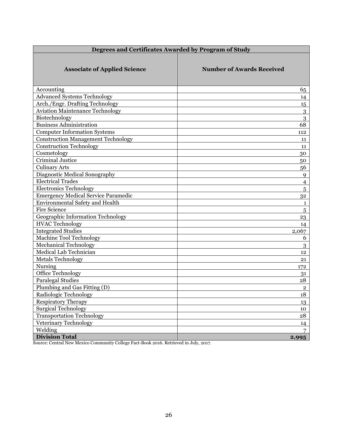| Degrees and Certificates Awarded by Program of Study |                                  |  |
|------------------------------------------------------|----------------------------------|--|
| <b>Associate of Applied Science</b>                  | <b>Number of Awards Received</b> |  |
| Accounting                                           | 65                               |  |
| Advanced Systems Technology                          | 14                               |  |
| Arch./Engr. Drafting Technology                      | 15                               |  |
| <b>Aviation Maintenance Technology</b>               | $\overline{3}$                   |  |
| Biotechnology                                        | $\overline{3}$                   |  |
| <b>Business Administration</b>                       | 68                               |  |
| <b>Computer Information Systems</b>                  | 112                              |  |
| <b>Construction Management Technology</b>            | 11                               |  |
| <b>Construction Technology</b>                       | 11                               |  |
| Cosmetology                                          | 30                               |  |
| <b>Criminal Justice</b>                              | 50                               |  |
| <b>Culinary Arts</b>                                 | 56                               |  |
| Diagnostic Medical Sonography                        | 9                                |  |
| <b>Electrical Trades</b>                             | $\overline{4}$                   |  |
| <b>Electronics Technology</b>                        | 5                                |  |
| <b>Emergency Medical Service Paramedic</b>           | 32                               |  |
| <b>Environmental Safety and Health</b>               | $\mathbf{1}$                     |  |
| <b>Fire Science</b>                                  | 5                                |  |
| Geographic Information Technology                    | 23                               |  |
| <b>HVAC</b> Technology                               | 14                               |  |
| <b>Integrated Studies</b>                            | 2,067                            |  |
| Machine Tool Technology                              | 6                                |  |
| <b>Mechanical Technology</b>                         | 3                                |  |
| Medical Lab Technician                               | 12                               |  |
| <b>Metals Technology</b>                             | 21                               |  |
| Nursing                                              | 172                              |  |
| Office Technology                                    | 31                               |  |
| <b>Paralegal Studies</b>                             | 28                               |  |
| Plumbing and Gas Fitting (D)                         | $\overline{2}$                   |  |
| Radiologic Technology                                | 18                               |  |
| <b>Respiratory Therapy</b>                           | 13                               |  |
| <b>Surgical Technology</b>                           | 10                               |  |
| <b>Transportation Technology</b>                     | 28                               |  |
| Veterinary Technology                                | 14                               |  |
| Welding                                              | 7                                |  |
| <b>Division Total</b>                                | 2,995                            |  |

Source: Central New Mexico Community College Fact-Book 2016. Retrieved in July, 2017.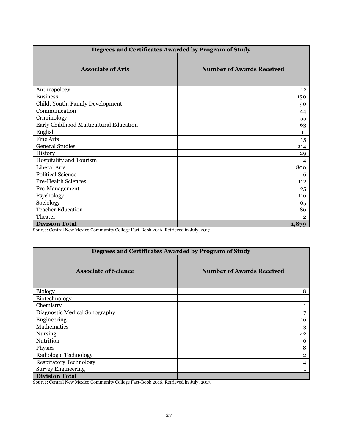| Degrees and Certificates Awarded by Program of Study |                                  |  |
|------------------------------------------------------|----------------------------------|--|
| <b>Associate of Arts</b>                             | <b>Number of Awards Received</b> |  |
| Anthropology                                         | 12                               |  |
| <b>Business</b>                                      | 130                              |  |
| Child, Youth, Family Development                     | 90                               |  |
| Communication                                        | 44                               |  |
| Criminology                                          | 55                               |  |
| Early Childhood Multicultural Education              | 63                               |  |
| English                                              | 11                               |  |
| <b>Fine Arts</b>                                     | 15                               |  |
| <b>General Studies</b>                               | 214                              |  |
| History                                              | 29                               |  |
| Hospitality and Tourism                              | 4                                |  |
| Liberal Arts                                         | 800                              |  |
| <b>Political Science</b>                             | 6                                |  |
| Pre-Health Sciences                                  | 112                              |  |
| Pre-Management                                       | 25                               |  |
| Psychology                                           | 116                              |  |
| Sociology                                            | 65                               |  |
| <b>Teacher Education</b>                             | 86                               |  |
| Theater                                              | $\overline{2}$                   |  |
| <b>Division Total</b>                                | 1,879                            |  |

Source: Central New Mexico Community College Fact-Book 2016. Retrieved in July, 2017.

| Degrees and Certificates Awarded by Program of Study |                                  |  |  |
|------------------------------------------------------|----------------------------------|--|--|
| <b>Associate of Science</b>                          | <b>Number of Awards Received</b> |  |  |
| <b>Biology</b>                                       | 8                                |  |  |
| Biotechnology                                        |                                  |  |  |
| Chemistry                                            |                                  |  |  |
| Diagnostic Medical Sonography                        | 7                                |  |  |
| Engineering                                          | 16                               |  |  |
| Mathematics                                          | 3                                |  |  |
| <b>Nursing</b>                                       | 42                               |  |  |
| Nutrition                                            | 6                                |  |  |
| Physics                                              | 8                                |  |  |
| Radiologic Technology                                | $\mathbf{2}$                     |  |  |
| <b>Respiratory Technology</b>                        | 4                                |  |  |
| <b>Survey Engineering</b>                            |                                  |  |  |
| <b>Division Total</b>                                |                                  |  |  |

Source: Central New Mexico Community College Fact-Book 2016. Retrieved in July, 2017.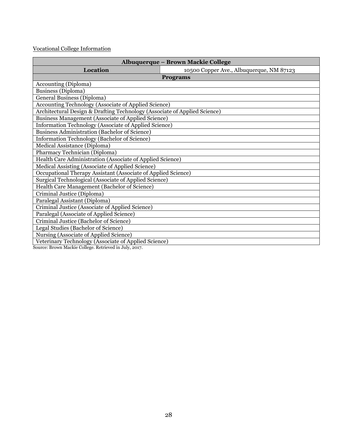#### Vocational College Information

| Albuquerque - Brown Mackie College                                        |                                          |  |  |
|---------------------------------------------------------------------------|------------------------------------------|--|--|
| Location                                                                  | 10500 Copper Ave., Albuquerque, NM 87123 |  |  |
|                                                                           | <b>Programs</b>                          |  |  |
| Accounting (Diploma)                                                      |                                          |  |  |
| Business (Diploma)                                                        |                                          |  |  |
| <b>General Business (Diploma)</b>                                         |                                          |  |  |
| <b>Accounting Technology (Associate of Applied Science)</b>               |                                          |  |  |
| Architectural Design & Drafting Technology (Associate of Applied Science) |                                          |  |  |
| <b>Business Management (Associate of Applied Science)</b>                 |                                          |  |  |
| <b>Information Technology (Associate of Applied Science)</b>              |                                          |  |  |
| <b>Business Administration (Bachelor of Science)</b>                      |                                          |  |  |
| <b>Information Technology (Bachelor of Science)</b>                       |                                          |  |  |
| Medical Assistance (Diploma)                                              |                                          |  |  |
| Pharmacy Technician (Diploma)                                             |                                          |  |  |
| Health Care Administration (Associate of Applied Science)                 |                                          |  |  |
| Medical Assisting (Associate of Applied Science)                          |                                          |  |  |
| Occupational Therapy Assistant (Associate of Applied Science)             |                                          |  |  |
| Surgical Technological (Associate of Applied Science)                     |                                          |  |  |
| Health Care Management (Bachelor of Science)                              |                                          |  |  |
| Criminal Justice (Diploma)                                                |                                          |  |  |
| Paralegal Assistant (Diploma)                                             |                                          |  |  |
| Criminal Justice (Associate of Applied Science)                           |                                          |  |  |
| Paralegal (Associate of Applied Science)                                  |                                          |  |  |
| Criminal Justice (Bachelor of Science)                                    |                                          |  |  |
| Legal Studies (Bachelor of Science)                                       |                                          |  |  |
| Nursing (Associate of Applied Science)                                    |                                          |  |  |
| Veterinary Technology (Associate of Applied Science)                      |                                          |  |  |

Source: Brown Mackie College. Retrieved in July, 2017.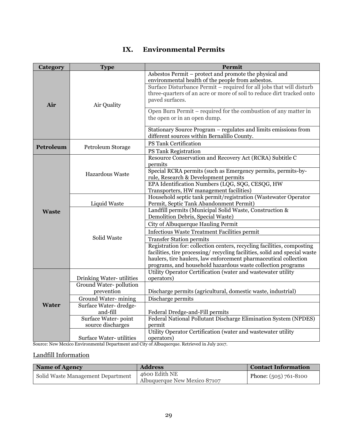#### <span id="page-30-0"></span>**Category Type Permit Air** Air Quality Asbestos Permit – protect and promote the physical and environmental health of the people from asbestos. Surface Disturbance Permit – required for all jobs that will disturb three-quarters of an acre or more of soil to reduce dirt tracked onto paved surfaces. Open Burn Permit – required for the combustion of any matter in the open or in an open dump. Stationary Source Program – regulates and limits emissions from different sources within Bernalillo County. **Petroleum** Petroleum Storage PS Tank Certification PS Tank Registration **Waste** Hazardous Waste Resource Conservation and Recovery Act (RCRA) Subtitle C permits Special RCRA permits (such as Emergency permits, permits-byrule, Research & Development permits EPA Identification Numbers (LQG, SQG, CESQG, HW Transporters, HW management facilities) Liquid Waste Household septic tank permit/registration (Wastewater Operator Permit, Septic Tank Abandonment Permit) Solid Waste Landfill permits (Municipal Solid Waste, Construction & Demolition Debris, Special Waste) City of Albuquerque Hauling Permit Infectious Waste Treatment Facilities permit Transfer Station permits Registration for: collection centers, recycling facilities, composting facilities, tire processing/ recycling facilities, solid and special waste haulers, tire haulers, law enforcement pharmaceutical collection programs, and household hazardous waste collection programs **Water** Drinking Water- utilities Utility Operator Certification (water and wastewater utility operators) Ground Water- pollution prevention Discharge permits (agricultural, domestic waste, industrial) Ground Water- mining | Discharge permits Surface Water- dredgeand-fill Federal Dredge-and-Fill permits Surface Water- point source discharges Federal National Pollutant Discharge Elimination System (NPDES) permit Surface Water- utilities Utility Operator Certification (water and wastewater utility operators)

### **IX. Environmental Permits**

Source: New Mexico Environmental Department and City of Albuquerque. Retrieved in July 2017.

#### Landfill Information

| Name of Agency                    | <b>Address</b>                                | <b>Contact Information</b> |
|-----------------------------------|-----------------------------------------------|----------------------------|
| Solid Waste Management Department | 4600 Edith NE<br>Albuquerque New Mexico 87107 | Phone: $(505)$ 761-8100    |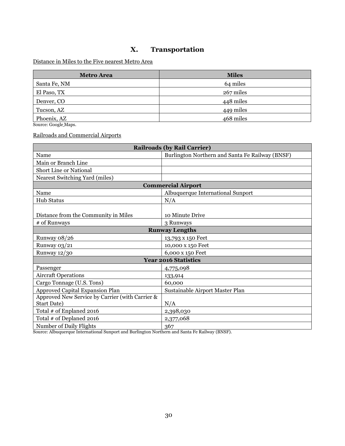### **X. Transportation**

#### <span id="page-31-0"></span>Distance in Miles to the Five nearest Metro Area

| <b>Metro Area</b> | <b>Miles</b> |
|-------------------|--------------|
| Santa Fe, NM      | 64 miles     |
| El Paso, TX       | 267 miles    |
| Denver, CO        | 448 miles    |
| Tucson, AZ        | 449 miles    |
| Phoenix, AZ       | 468 miles    |

Source[: Google](https://www.google.com/maps) Maps.

Railroads and Commercial Airports

| <b>Railroads (by Rail Carrier)</b>              |                                                 |  |  |
|-------------------------------------------------|-------------------------------------------------|--|--|
| Name                                            | Burlington Northern and Santa Fe Railway (BNSF) |  |  |
| Main or Branch Line                             |                                                 |  |  |
| Short Line or National                          |                                                 |  |  |
| Nearest Switching Yard (miles)                  |                                                 |  |  |
|                                                 | <b>Commercial Airport</b>                       |  |  |
| Name                                            | Albuquerque International Sunport               |  |  |
| <b>Hub Status</b>                               | N/A                                             |  |  |
|                                                 |                                                 |  |  |
| Distance from the Community in Miles            | 10 Minute Drive                                 |  |  |
| # of Runways                                    | 3 Runways                                       |  |  |
| <b>Runway Lengths</b>                           |                                                 |  |  |
| Runway 08/26                                    | 13,793 x 150 Feet                               |  |  |
| Runway 03/21                                    | 10,000 x 150 Feet                               |  |  |
| Runway 12/30                                    | 6,000 x 150 Feet                                |  |  |
|                                                 | <b>Year 2016 Statistics</b>                     |  |  |
| Passenger                                       | 4,775,098                                       |  |  |
| <b>Aircraft Operations</b>                      | 133,914                                         |  |  |
| Cargo Tonnage (U.S. Tons)                       | 60,000                                          |  |  |
| Approved Capital Expansion Plan                 | Sustainable Airport Master Plan                 |  |  |
| Approved New Service by Carrier (with Carrier & |                                                 |  |  |
| <b>Start Date)</b>                              | N/A                                             |  |  |
| Total # of Enplaned 2016                        | 2,398,030                                       |  |  |
| Total # of Deplaned 2016                        | 2,377,068                                       |  |  |
| Number of Daily Flights                         | 367                                             |  |  |

Source: Albuquerque International Sunport and Burlington Northern and Santa Fe Railway (BNSF).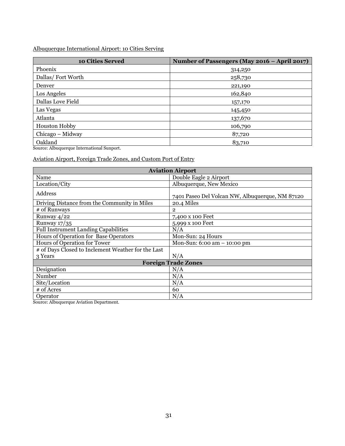#### Albuquerque International Airport: 10 Cities Serving

| 10 Cities Served                            | Number of Passengers (May 2016 - April 2017) |
|---------------------------------------------|----------------------------------------------|
| Phoenix                                     | 314,250                                      |
| Dallas/Fort Worth                           | 258,730                                      |
| Denver                                      | 221,190                                      |
| Los Angeles                                 | 162,840                                      |
| Dallas Love Field                           | 157,170                                      |
| Las Vegas                                   | 145,450                                      |
| Atlanta                                     | 137,670                                      |
| Houston Hobby                               | 106,790                                      |
| Chicago - Midway                            | 87,720                                       |
| Oakland<br>$\sim$ $\sim$<br>.<br>$\sim$ 33. | 83,710                                       |

Source: Albuquerque International Sunport.

Aviation Airport, Foreign Trade Zones, and Custom Port of Entry

| <b>Aviation Airport</b>                                                       |                                                 |  |  |  |
|-------------------------------------------------------------------------------|-------------------------------------------------|--|--|--|
| Name                                                                          | Double Eagle 2 Airport                          |  |  |  |
| Location/City                                                                 | Albuquerque, New Mexico                         |  |  |  |
| Address                                                                       | 7401 Paseo Del Volcan NW, Albuquerque, NM 87120 |  |  |  |
| Driving Distance from the Community in Miles                                  | 20.4 Miles                                      |  |  |  |
| # of Runways                                                                  | $\overline{2}$                                  |  |  |  |
| Runway $4/22$                                                                 | 7,400 x 100 Feet                                |  |  |  |
| Runway $17/35$                                                                | 5,999 x 100 Feet                                |  |  |  |
| <b>Full Instrument Landing Capabilities</b>                                   | N/A                                             |  |  |  |
| Hours of Operation for Base Operators                                         | Mon-Sun: 24 Hours                               |  |  |  |
| Hours of Operation for Tower<br>Mon-Sun: $6:00 \text{ am} - 10:00 \text{ pm}$ |                                                 |  |  |  |
| # of Days Closed to Inclement Weather for the Last                            |                                                 |  |  |  |
| 3 Years                                                                       | N/A                                             |  |  |  |
| <b>Foreign Trade Zones</b>                                                    |                                                 |  |  |  |
| Designation                                                                   | N/A                                             |  |  |  |
| Number                                                                        | N/A                                             |  |  |  |
| Site/Location                                                                 | N/A                                             |  |  |  |
| # of Acres                                                                    | 60                                              |  |  |  |
| Operator                                                                      | N/A                                             |  |  |  |

Source: Albuquerque Aviation Department.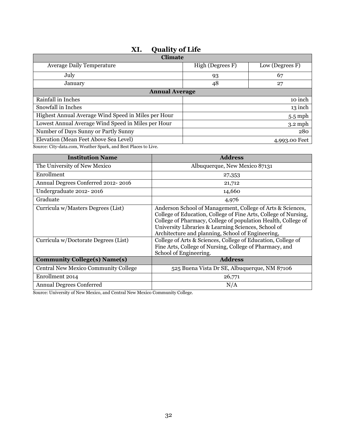<span id="page-33-0"></span>

| 771.<br>Yuanty vi Liit                                       |                                     |           |  |  |
|--------------------------------------------------------------|-------------------------------------|-----------|--|--|
| <b>Climate</b>                                               |                                     |           |  |  |
| <b>Average Daily Temperature</b>                             | High (Degrees F)<br>Low (Degrees F) |           |  |  |
| July                                                         | 67<br>93                            |           |  |  |
| January                                                      | 48<br>27                            |           |  |  |
| <b>Annual Average</b>                                        |                                     |           |  |  |
| Rainfall in Inches                                           |                                     | 10 inch   |  |  |
| Snowfall in Inches                                           | 13 inch                             |           |  |  |
| Highest Annual Average Wind Speed in Miles per Hour          | $5.5$ mph                           |           |  |  |
| Lowest Annual Average Wind Speed in Miles per Hour           |                                     | $3.2$ mph |  |  |
| Number of Days Sunny or Partly Sunny                         |                                     | 280       |  |  |
| Elevation (Mean Feet Above Sea Level)<br>4,993.00 Feet       |                                     |           |  |  |
| Course City data came Weather Crayle and Dast Dlasse to Live |                                     |           |  |  |

### **XI. Quality of Life**

Source[: City-data.com,](http://www.city-data.com/) [Weather Spark,](https://weatherspark.com/) an[d Best Places to Live.](http://www.bestplaces.net/)

| <b>Institution Name</b>                                                    | <b>Address</b>                                                                                                                                                                                                                                                                                                                                                             |
|----------------------------------------------------------------------------|----------------------------------------------------------------------------------------------------------------------------------------------------------------------------------------------------------------------------------------------------------------------------------------------------------------------------------------------------------------------------|
| The University of New Mexico                                               | Albuquerque, New Mexico 87131                                                                                                                                                                                                                                                                                                                                              |
| Enrollment                                                                 | 27,353                                                                                                                                                                                                                                                                                                                                                                     |
| Annual Degrees Conferred 2012-2016                                         | 21,712                                                                                                                                                                                                                                                                                                                                                                     |
| Undergraduate 2012-2016                                                    | 14,660                                                                                                                                                                                                                                                                                                                                                                     |
| Graduate                                                                   | 4,976                                                                                                                                                                                                                                                                                                                                                                      |
| Curricula w/Masters Degrees (List)<br>Curricula w/Doctorate Degrees (List) | Anderson School of Management, College of Arts & Sciences,<br>College of Education, College of Fine Arts, College of Nursing,<br>College of Pharmacy, College of population Health, College of<br>University Libraries & Learning Sciences, School of<br>Architecture and planning, School of Engineering,<br>College of Arts & Sciences, College of Education, College of |
|                                                                            | Fine Arts, College of Nursing, College of Pharmacy, and<br>School of Engineering.                                                                                                                                                                                                                                                                                          |
| <b>Community College(s) Name(s)</b>                                        | <b>Address</b>                                                                                                                                                                                                                                                                                                                                                             |
| Central New Mexico Community College                                       | 525 Buena Vista Dr SE, Albuquerque, NM 87106                                                                                                                                                                                                                                                                                                                               |
| Enrollment 2014                                                            | 26,771                                                                                                                                                                                                                                                                                                                                                                     |
| <b>Annual Degrees Conferred</b>                                            | N/A                                                                                                                                                                                                                                                                                                                                                                        |

Source: University of New Mexico, and Central New Mexico Community College.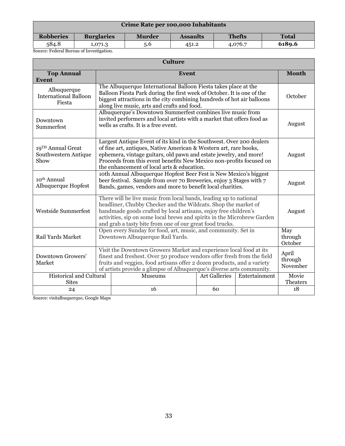| Crime Rate per 100,000 Inhabitants       |                   |               |                 |               |              |
|------------------------------------------|-------------------|---------------|-----------------|---------------|--------------|
| <b>Robberies</b>                         | <b>Burglaries</b> | <b>Murder</b> | <b>Assaults</b> | <b>Thefts</b> | <b>Total</b> |
| 584.8                                    | 1,071.3           | 5.6           | 451.2           | 4,076.7       | 6189.6       |
| Source: Federal Bureau of Investigation. |                   |               |                 |               |              |

| <b>Culture</b>                                        |                                                                                                                                                                                                                                                                                                                                                         |                                                                                                                                                                                                                                                                                                                                               |                      |               |                              |  |
|-------------------------------------------------------|---------------------------------------------------------------------------------------------------------------------------------------------------------------------------------------------------------------------------------------------------------------------------------------------------------------------------------------------------------|-----------------------------------------------------------------------------------------------------------------------------------------------------------------------------------------------------------------------------------------------------------------------------------------------------------------------------------------------|----------------------|---------------|------------------------------|--|
| <b>Top Annual</b><br><b>Event</b>                     |                                                                                                                                                                                                                                                                                                                                                         | Event                                                                                                                                                                                                                                                                                                                                         |                      |               |                              |  |
| Albuquerque<br><b>International Balloon</b><br>Fiesta |                                                                                                                                                                                                                                                                                                                                                         | The Albuquerque International Balloon Fiesta takes place at the<br>Balloon Fiesta Park during the first week of October. It is one of the<br>biggest attractions in the city combining hundreds of hot air balloons<br>along live music, arts and crafts and food.                                                                            |                      |               |                              |  |
| Downtown<br>Summerfest                                |                                                                                                                                                                                                                                                                                                                                                         | Albuquerque's Downtown Summerfest combines live music from<br>invited performers and local artists with a market that offers food as<br>August<br>wells as crafts. It is a free event.                                                                                                                                                        |                      |               |                              |  |
| 19TH Annual Great<br>Southwestern Antique<br>Show     |                                                                                                                                                                                                                                                                                                                                                         | Largest Antique Event of its kind in the Southwest. Over 200 dealers<br>of fine art, antiques, Native American & Western art, rare books,<br>ephemera, vintage guitars, old pawn and estate jewelry, and more!<br>August<br>Proceeds from this event benefits New Mexico non-profits focused on<br>the enhancement of local arts & education. |                      |               |                              |  |
| 10 <sup>th</sup> Annual<br>Albuquerque Hopfest        |                                                                                                                                                                                                                                                                                                                                                         | 10th Annual Albuquerque Hopfest Beer Fest is New Mexico's biggest<br>beer festival. Sample from over 70 Breweries, enjoy 3 Stages with 7<br>August<br>Bands, games, vendors and more to benefit local charities.                                                                                                                              |                      |               |                              |  |
| <b>Westside Summerfest</b>                            | There will be live music from local bands, leading up to national<br>headliner, Chubby Checker and the Wildcats. Shop the market of<br>handmade goods crafted by local artisans, enjoy free children's<br>August<br>activities, sip on some local brews and spirits in the Microbrew Garden<br>and grab a tasty bite from one of our great food trucks. |                                                                                                                                                                                                                                                                                                                                               |                      |               |                              |  |
| <b>Rail Yards Market</b>                              | Open every Sunday for food, art, music, and community. Set in<br>May<br>Downtown Albuquerque Rail Yards.                                                                                                                                                                                                                                                |                                                                                                                                                                                                                                                                                                                                               |                      |               | through<br>October           |  |
| Downtown Growers'<br>Market                           | Visit the Downtown Growers Market and experience local food at its<br>finest and freshest. Over 50 produce vendors offer fresh from the field<br>fruits and veggies, food artisans offer 2 dozen products, and a variety<br>of artists provide a glimpse of Albuquerque's diverse arts community.                                                       |                                                                                                                                                                                                                                                                                                                                               |                      |               | April<br>through<br>November |  |
| <b>Historical and Cultural</b><br><b>Sites</b>        |                                                                                                                                                                                                                                                                                                                                                         | Museums                                                                                                                                                                                                                                                                                                                                       | <b>Art Galleries</b> | Entertainment | Movie<br>Theaters            |  |
| 24                                                    |                                                                                                                                                                                                                                                                                                                                                         | 16                                                                                                                                                                                                                                                                                                                                            | 60                   |               | 18                           |  |

Source: visitalbuquerque, Google Maps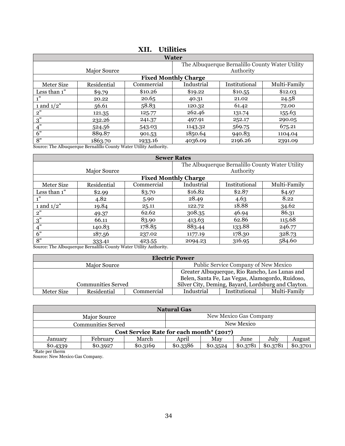<span id="page-35-0"></span>

| <b>Water</b>  |                                                 |            |                             |               |              |  |
|---------------|-------------------------------------------------|------------|-----------------------------|---------------|--------------|--|
|               | The Albuquerque Bernalillo County Water Utility |            |                             |               |              |  |
|               | Major Source                                    |            |                             | Authority     |              |  |
|               |                                                 |            | <b>Fixed Monthly Charge</b> |               |              |  |
| Meter Size    | Residential                                     | Commercial | Industrial                  | Institutional | Multi-Family |  |
| Less than 1"  | \$9.79                                          | \$10.26    | \$19.22                     | \$10.55       | \$12.03      |  |
| 1"            | 20.22                                           | 20.65      | 40.31                       | 21.02         | 24.58        |  |
| 1 and $1/2$ " | 56.61                                           | 58.83      | 120.32                      | 61.42         | 72.00        |  |
| 2"            | 121.35                                          | 125.77     | 262.46                      | 131.74        | 155.63       |  |
| 3"            | 232.26                                          | 241.37     | 497.91                      | 252.17        | 290.05       |  |
| 4"            | 524.56                                          | 543.03     | 1143.32                     | 569.75        | 675.21       |  |
| 6"            | 889.87                                          | 901.53     | 1850.64                     | 940.83        | 1104.04      |  |
| 8"            | 1863.70                                         | 1933.16    | 4036.09                     | 2196.26       | 2391.09      |  |

### **XII. Utilities**

Source: The Albuquerque Bernalillo County Water Utility Authority.

| <b>Sewer Rates</b> |              |            |                             |                                                 |              |
|--------------------|--------------|------------|-----------------------------|-------------------------------------------------|--------------|
|                    |              |            |                             | The Albuquerque Bernalillo County Water Utility |              |
|                    | Major Source |            |                             | Authority                                       |              |
|                    |              |            | <b>Fixed Monthly Charge</b> |                                                 |              |
| Meter Size         | Residential  | Commercial | Industrial                  | Institutional                                   | Multi-Family |
| Less than 1"       | \$2.99       | \$3.70     | \$16.82                     | \$2.87                                          | \$4.97       |
| 1"                 | 4.82         | 5.90       | 28.49                       | 4.63                                            | 8.22         |
| 1 and $1/2$ "      | 19.84        | 25.11      | 122.72                      | 18.88                                           | 34.62        |
| 2"                 | 49.37        | 62.62      | 308.35                      | 46.94                                           | 86.31        |
| 3"                 | 66.11        | 83.90      | 413.63                      | 62.86                                           | 115.68       |
| 4"                 | 140.83       | 178.85     | 883.44                      | 133.88                                          | 246.77       |
| 6"                 | 187.56       | 237.02     | 1177.19                     | 178.30                                          | 328.73       |
| 8"<br>.            | 333.41       | 423.55     | 2094.23                     | 316.95                                          | 584.60       |

Source: The Albuquerque Bernalillo County Water Utility Authority.

|            | <b>Electric Power</b>     |            |                                                |                                      |                                                     |
|------------|---------------------------|------------|------------------------------------------------|--------------------------------------|-----------------------------------------------------|
|            | Major Source              |            |                                                | Public Service Company of New Mexico |                                                     |
|            |                           |            | Greater Albuquerque, Rio Rancho, Los Lunas and |                                      |                                                     |
|            |                           |            |                                                |                                      | Belen, Santa Fe, Las Vegas, Alamogordo, Ruidoso,    |
|            | <b>Communities Served</b> |            |                                                |                                      | Silver City, Deming, Bayard, Lordsburg and Clayton. |
| Meter Size | Residential               | Commercial | Industrial                                     | Institutional                        | Multi-Family                                        |

| <b>Natural Gas</b>        |                                          |          |            |          |          |          |          |
|---------------------------|------------------------------------------|----------|------------|----------|----------|----------|----------|
|                           | New Mexico Gas Company                   |          |            |          |          |          |          |
| <b>Communities Served</b> |                                          |          | New Mexico |          |          |          |          |
|                           | Cost Service Rate for each month* (2017) |          |            |          |          |          |          |
| January                   | February                                 | March    | April      | Mav      | June     | July     | August   |
| \$0.4339<br>$251 - 11$    | \$0.3927                                 | \$0.3169 | \$0.3386   | \$0.3524 | \$0.3781 | \$0.3781 | \$0.3701 |

\*Rate per therm Source: New Mexico Gas Company.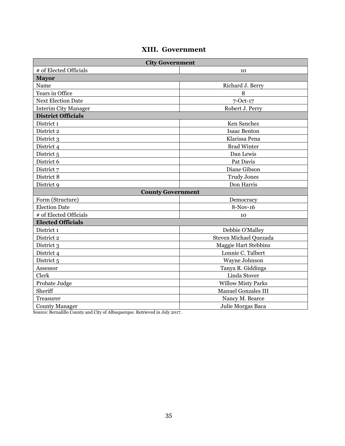### **XIII. Government**

<span id="page-36-0"></span>

| <b>City Government</b>           |                            |  |
|----------------------------------|----------------------------|--|
| # of Elected Officials           | 10                         |  |
| <b>Mayor</b>                     |                            |  |
| Name                             | Richard J. Berry           |  |
| Years in Office                  | 8                          |  |
| <b>Next Election Date</b>        | 7-Oct-17                   |  |
| <b>Interim City Manager</b>      | Robert J. Perry            |  |
| <b>District Officials</b>        |                            |  |
| District 1                       | Ken Sanchez                |  |
| District 2                       | <b>Isaac Benton</b>        |  |
| District 3                       | Klarissa Pena              |  |
| District 4                       | <b>Brad Winter</b>         |  |
| District 5                       | Dan Lewis                  |  |
| District 6                       | Pat Davis                  |  |
| District 7                       | Diane Gibson               |  |
| District 8<br><b>Trudy Jones</b> |                            |  |
| District 9<br>Don Harris         |                            |  |
| <b>County Government</b>         |                            |  |
| Form (Structure)                 | Democracy                  |  |
| <b>Election Date</b>             | 8-Nov-16                   |  |
| # of Elected Officials           | 10                         |  |
| <b>Elected Officials</b>         |                            |  |
| District 1                       | Debbie O'Malley            |  |
| District 2                       | Steven Michael Quezada     |  |
| District 3                       | Maggie Hart Stebbins       |  |
| District 4                       | Lonnie C. Talbert          |  |
| District 5                       | Wayne Johnson              |  |
| Assessor                         | Tanya R. Giddings          |  |
| Clerk                            | Linda Stover               |  |
| Probate Judge                    | <b>Willow Misty Parks</b>  |  |
| Sheriff                          | <b>Manuel Gonzales III</b> |  |
| Treasurer                        | Nancy M. Bearce            |  |
| <b>County Manager</b>            | Julie Morgas Baca          |  |

Source: Bernalillo County and City of Albuquerque. Retrieved in July 2017.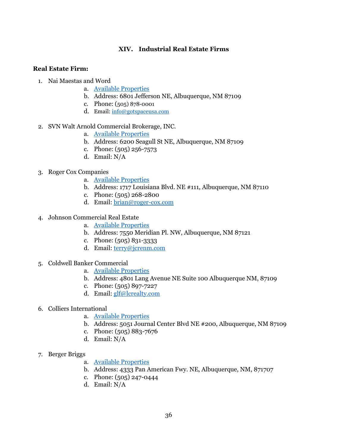#### **XIV. Industrial Real Estate Firms**

#### <span id="page-37-0"></span>**Real Estate Firm:**

- 1. Nai Maestas and Word
	- a. [Available Properties](http://www.gotspaceusa.com/#view=7,34.38877925439021,-105.9521484375)
	- b. Address: 6801 Jefferson NE, Albuquerque, NM 87109
	- c. Phone: (505) 878-0001
	- d. Email[: info@gotspaceusa.com](mailto:info@gotspaceusa.com)
- 2. SVN Walt Arnold Commercial Brokerage, INC.
	- a. [Available Properties](http://waltarnold.com/properties/)
	- b. Address: 6200 Seagull St NE, Albuquerque, NM 87109
	- c. Phone: (505) 256-7573
	- d. Email: N/A
- 3. Roger Cox Companies
	- a. [Available Properties](http://www.roger-cox.com/albuquerque-commercial-real-estate)
	- b. Address: 1717 Louisiana Blvd. NE #111, Albuquerque, NM 87110
	- c. Phone: (505) 268-2800
	- d. Email[: brian@roger-cox.com](mailto:brian@roger-cox.com)
- 4. Johnson Commercial Real Estate
	- a. [Available Properties](http://www.jcrenm.com/commercial_property_listings/)
	- b. Address: 7550 Meridian Pl. NW, Albuquerque, NM 87121
	- c. Phone: (505) 831-3333
	- d. Email[: terry@jcrenm.com](mailto:terry@jcrenm.com)
- 5. Coldwell Banker Commercial
	- a. [Available Properties](http://www.lcrealty.com/properties/find?customTypes=IND&locationName=)
	- b. Address: 4801 Lang Avenue NE Suite 100 Albuquerque NM, 87109
	- c. Phone: (505) 897-7227
	- d. Email[: glf@lcrealty.com](mailto:glf@lcrealty.com)
- 6. Colliers International
	- a. [Available Properties](http://www.colliers.com/en-us/newmexico/properties)
	- b. Address: 5051 Journal Center Blvd NE #200, Albuquerque, NM 87109
	- c. Phone: (505) 883-7676
	- d. Email: N/A
- 7. Berger Briggs
	- a. [Available Properties](http://www.bergerbriggs.com/properties.php)
	- b. Address: 4333 Pan American Fwy. NE, Albuquerque, NM, 871707
	- c. Phone: (505) 247-0444
	- d. Email: N/A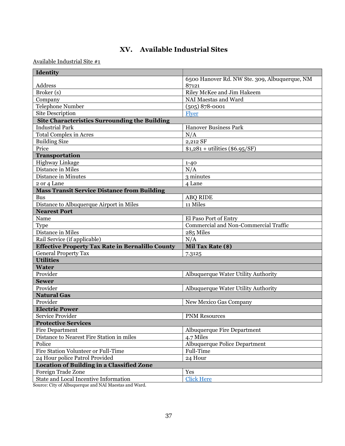# **XV. Available Industrial Sites**

<span id="page-38-0"></span>Available Industrial Site #1

| Identity                                                |                                               |  |  |
|---------------------------------------------------------|-----------------------------------------------|--|--|
|                                                         | 6500 Hanover Rd. NW Ste. 309, Albuquerque, NM |  |  |
| Address                                                 | 87121                                         |  |  |
| Broker (s)                                              | Riley McKee and Jim Hakeem                    |  |  |
| Company                                                 | NAI Maestas and Ward                          |  |  |
| Telephone Number                                        | $(505) 878 - 0001$                            |  |  |
| <b>Site Description</b>                                 | Flyer                                         |  |  |
| <b>Site Characteristics Surrounding the Building</b>    |                                               |  |  |
| <b>Industrial Park</b>                                  | <b>Hanover Business Park</b>                  |  |  |
| <b>Total Complex in Acres</b>                           | N/A                                           |  |  |
| <b>Building Size</b>                                    | 2,212 SF                                      |  |  |
| Price                                                   | $$1,281 + utilities ($6.95/SF)$               |  |  |
| Transportation                                          |                                               |  |  |
| Highway Linkage                                         | $1 - 40$                                      |  |  |
| Distance in Miles                                       | N/A                                           |  |  |
| Distance in Minutes                                     | 3 minutes                                     |  |  |
| 2 or 4 Lane                                             | 4 Lane                                        |  |  |
| <b>Mass Transit Service Distance from Building</b>      |                                               |  |  |
| <b>Bus</b>                                              | <b>ABQ RIDE</b>                               |  |  |
| Distance to Albuquerque Airport in Miles                | 11 Miles                                      |  |  |
| <b>Nearest Port</b>                                     |                                               |  |  |
| Name                                                    | El Paso Port of Entry                         |  |  |
| Type                                                    | Commercial and Non-Commercial Traffic         |  |  |
| Distance in Miles                                       | 285 Miles                                     |  |  |
| Rail Service (if applicable)                            | $N/\overline{A}$                              |  |  |
| <b>Effective Property Tax Rate in Bernalillo County</b> | Mil Tax Rate (\$)                             |  |  |
| <b>General Property Tax</b>                             | 7.3125                                        |  |  |
| <b>Utilities</b>                                        |                                               |  |  |
| <b>Water</b>                                            |                                               |  |  |
| Provider                                                | Albuquerque Water Utility Authority           |  |  |
| <b>Sewer</b>                                            |                                               |  |  |
| Provider                                                | Albuquerque Water Utility Authority           |  |  |
| <b>Natural Gas</b>                                      |                                               |  |  |
| Provider                                                | New Mexico Gas Company                        |  |  |
| <b>Electric Power</b>                                   |                                               |  |  |
| <b>Service Provider</b>                                 | <b>PNM Resources</b>                          |  |  |
| <b>Protective Services</b>                              |                                               |  |  |
| <b>Fire Department</b>                                  | <b>Albuquerque Fire Department</b>            |  |  |
| Distance to Nearest Fire Station in miles               | 4.7 Miles                                     |  |  |
| Police                                                  | Albuquerque Police Department                 |  |  |
| Fire Station Volunteer or Full-Time                     | Full-Time                                     |  |  |
| 24 Hour police Patrol Provided                          | 24 Hour                                       |  |  |
| <b>Location of Building in a Classified Zone</b>        |                                               |  |  |
| Foreign Trade Zone                                      | Yes                                           |  |  |
| State and Local Incentive Information                   | <b>Click Here</b>                             |  |  |

Source: City of Albuquerque and NAI Maestas and Ward.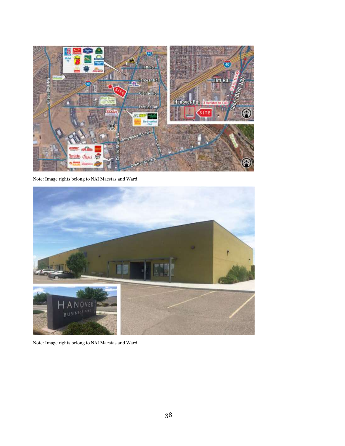

Note: Image rights belong to NAI Maestas and Ward.



Note: Image rights belong to NAI Maestas and Ward.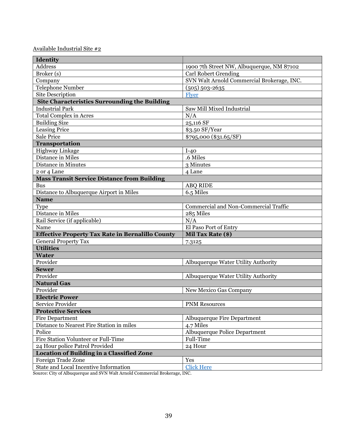| Identity                                                |                                            |
|---------------------------------------------------------|--------------------------------------------|
| <b>Address</b>                                          | 1900 7th Street NW, Albuquerque, NM 87102  |
| Broker(s)                                               | <b>Carl Robert Grending</b>                |
| Company                                                 | SVN Walt Arnold Commercial Brokerage, INC. |
| Telephone Number                                        | $(505) 503 - 2635$                         |
| <b>Site Description</b>                                 | Flyer                                      |
| <b>Site Characteristics Surrounding the Building</b>    |                                            |
| <b>Industrial Park</b>                                  | Saw Mill Mixed Industrial                  |
| <b>Total Complex in Acres</b>                           | N/A                                        |
| <b>Building Size</b>                                    | 25,116 SF                                  |
| <b>Leasing Price</b>                                    | \$3.50 SF/Year                             |
| <b>Sale Price</b>                                       | \$795,000 (\$31.65/SF)                     |
| <b>Transportation</b>                                   |                                            |
| Highway Linkage                                         | $I-40$                                     |
| Distance in Miles                                       | .6 Miles                                   |
| Distance in Minutes                                     | 3 Minutes                                  |
| 2 or 4 Lane                                             | 4 Lane                                     |
| <b>Mass Transit Service Distance from Building</b>      |                                            |
| <b>Bus</b>                                              | <b>ABQ RIDE</b>                            |
| Distance to Albuquerque Airport in Miles                | 6.5 Miles                                  |
| <b>Name</b>                                             |                                            |
| Type                                                    | Commercial and Non-Commercial Traffic      |
| Distance in Miles                                       | 285 Miles                                  |
| Rail Service (if applicable)                            | N/A                                        |
| Name                                                    | El Paso Port of Entry                      |
| <b>Effective Property Tax Rate in Bernalillo County</b> | Mil Tax Rate (\$)                          |
| <b>General Property Tax</b>                             | 7.3125                                     |
| <b>Utilities</b>                                        |                                            |
| <b>Water</b>                                            |                                            |
| Provider                                                | Albuquerque Water Utility Authority        |
| <b>Sewer</b>                                            |                                            |
| Provider                                                | Albuquerque Water Utility Authority        |
| <b>Natural Gas</b>                                      |                                            |
| Provider                                                | New Mexico Gas Company                     |
| <b>Electric Power</b>                                   |                                            |
| Service Provider                                        | <b>PNM Resources</b>                       |
| <b>Protective Services</b>                              |                                            |
| <b>Fire Department</b>                                  | <b>Albuquerque Fire Department</b>         |
| Distance to Nearest Fire Station in miles               | 4.7 Miles                                  |
| Police                                                  | Albuquerque Police Department              |
| Fire Station Volunteer or Full-Time                     | Full-Time                                  |
| 24 Hour police Patrol Provided                          | 24 Hour                                    |
| <b>Location of Building in a Classified Zone</b>        |                                            |
| Foreign Trade Zone                                      | Yes                                        |
| State and Local Incentive Information                   | <b>Click Here</b>                          |
|                                                         |                                            |

Source: City of Albuquerque and SVN Walt Arnold Commercial Brokerage, INC.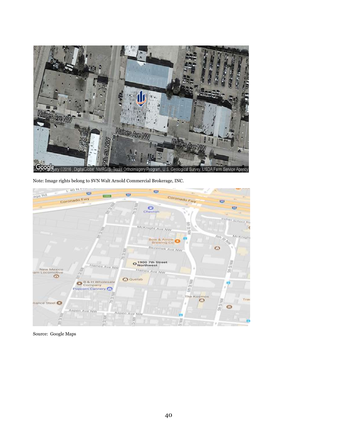

Note: Image rights belong to SVN Walt Arnold Commercial Brokerage, INC.



Source: Google Maps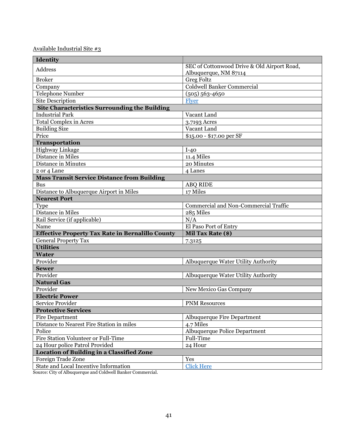| Identity                                                |                                             |
|---------------------------------------------------------|---------------------------------------------|
| <b>Address</b>                                          | SEC of Cottonwood Drive & Old Airport Road, |
|                                                         | Albuquerque, NM 87114                       |
| <b>Broker</b>                                           | <b>Greg Foltz</b>                           |
| Company                                                 | <b>Coldwell Banker Commercial</b>           |
| Telephone Number                                        | $(505) 563 - 4650$                          |
| Site Description                                        | Flyer                                       |
| <b>Site Characteristics Surrounding the Building</b>    |                                             |
| <b>Industrial Park</b>                                  | Vacant Land                                 |
| <b>Total Complex in Acres</b>                           | 3.7193 Acres                                |
| <b>Building Size</b>                                    | Vacant Land                                 |
| Price                                                   | \$15.00 - \$17.00 per SF                    |
| Transportation                                          |                                             |
| Highway Linkage                                         | $I-40$                                      |
| Distance in Miles                                       | 11.4 Miles                                  |
| Distance in Minutes                                     | 20 Minutes                                  |
| 2 or 4 Lane                                             | 4 Lanes                                     |
| <b>Mass Transit Service Distance from Building</b>      |                                             |
| <b>Bus</b>                                              | <b>ABQ RIDE</b>                             |
| Distance to Albuquerque Airport in Miles                | 17 Miles                                    |
| <b>Nearest Port</b>                                     |                                             |
| Type                                                    | Commercial and Non-Commercial Traffic       |
| Distance in Miles                                       | 285 Miles                                   |
| Rail Service (if applicable)                            | N/A                                         |
| Name                                                    | El Paso Port of Entry                       |
| <b>Effective Property Tax Rate in Bernalillo County</b> | Mil Tax Rate (\$)                           |
| <b>General Property Tax</b>                             | 7.3125                                      |
| <b>Utilities</b>                                        |                                             |
| <b>Water</b>                                            |                                             |
| Provider                                                | Albuquerque Water Utility Authority         |
| <b>Sewer</b>                                            |                                             |
| Provider                                                | Albuquerque Water Utility Authority         |
| <b>Natural Gas</b>                                      |                                             |
| Provider                                                | New Mexico Gas Company                      |
| <b>Electric Power</b>                                   |                                             |
| Service Provider                                        | <b>PNM Resources</b>                        |
| <b>Protective Services</b>                              |                                             |
| <b>Fire Department</b>                                  | <b>Albuquerque Fire Department</b>          |
| Distance to Nearest Fire Station in miles               | 4.7 Miles                                   |
| Police                                                  | Albuquerque Police Department               |
| Fire Station Volunteer or Full-Time                     | Full-Time                                   |
| 24 Hour police Patrol Provided                          | 24 Hour                                     |
| <b>Location of Building in a Classified Zone</b>        |                                             |
| Foreign Trade Zone                                      | Yes                                         |
| State and Local Incentive Information                   | <b>Click Here</b>                           |
|                                                         |                                             |

Source: City of Albuquerque and Coldwell Banker Commercial.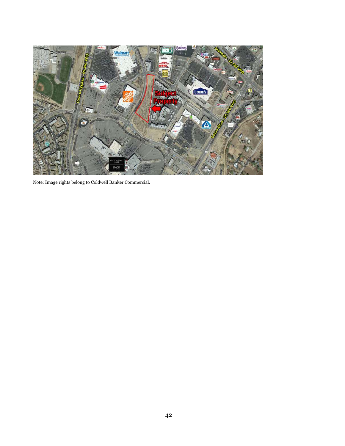

Note: Image rights belong to Coldwell Banker Commercial.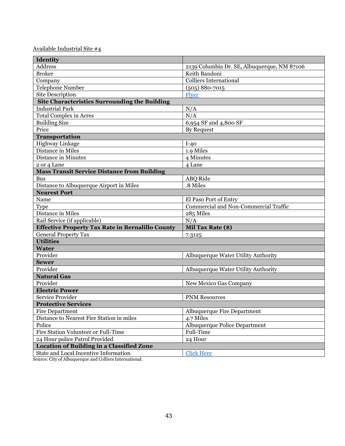| Identity                                                |                                             |
|---------------------------------------------------------|---------------------------------------------|
| <b>Address</b>                                          | 2139 Columbia Dr. SE, Albuquerque, NM 87106 |
| <b>Broker</b>                                           | Keith Bandoni                               |
| Company                                                 | <b>Colliers International</b>               |
| <b>Telephone Number</b>                                 | $(505) 880 - 7015$                          |
| <b>Site Description</b>                                 | Flyer                                       |
| <b>Site Characteristics Surrounding the Building</b>    |                                             |
| <b>Industrial Park</b>                                  | N/A                                         |
| <b>Total Complex in Acres</b>                           | $\overline{N}/A$                            |
| <b>Building Size</b>                                    | 6,954 SF and 4,800 SF                       |
| Price                                                   | <b>By Request</b>                           |
| <b>Transportation</b>                                   |                                             |
| Highway Linkage                                         | $I-40$                                      |
| Distance in Miles                                       | 1.9 Miles                                   |
| Distance in Minutes                                     | 4 Minutes                                   |
| 2 or 4 Lane                                             | 4 Lane                                      |
| <b>Mass Transit Service Distance from Building</b>      |                                             |
| <b>Bus</b>                                              | ABQ Ride                                    |
| Distance to Albuquerque Airport in Miles                | .8 Miles                                    |
| <b>Nearest Port</b>                                     |                                             |
| Name                                                    | El Paso Port of Entry                       |
| Type                                                    | Commercial and Non-Commercial Traffic       |
| Distance in Miles                                       | 285 Miles                                   |
| Rail Service (if applicable)                            | N/A                                         |
| <b>Effective Property Tax Rate in Bernalillo County</b> | Mil Tax Rate (\$)                           |
| <b>General Property Tax</b>                             | 7.3125                                      |
| <b>Utilities</b>                                        |                                             |
| <b>Water</b>                                            |                                             |
| Provider                                                | Albuquerque Water Utility Authority         |
| <b>Sewer</b>                                            |                                             |
| Provider                                                | Albuquerque Water Utility Authority         |
| <b>Natural Gas</b>                                      |                                             |
| Provider                                                | New Mexico Gas Company                      |
| <b>Electric Power</b>                                   |                                             |
| Service Provider                                        | <b>PNM Resources</b>                        |
| <b>Protective Services</b>                              |                                             |
| <b>Fire Department</b>                                  | Albuquerque Fire Department                 |
| Distance to Nearest Fire Station in miles               | 4.7 Miles                                   |
| Police                                                  | Albuquerque Police Department               |
| Fire Station Volunteer or Full-Time                     | Full-Time                                   |
| 24 Hour police Patrol Provided                          | 24 Hour                                     |
| <b>Location of Building in a Classified Zone</b>        |                                             |
| State and Local Incentive Information                   | <b>Click Here</b>                           |

Source: City of Albuquerque and Colliers International.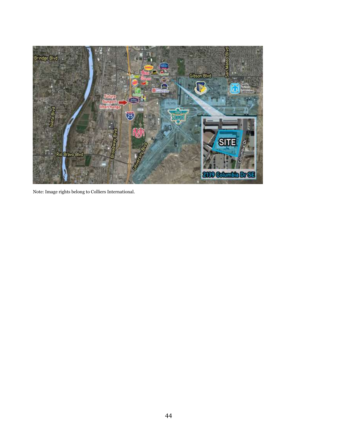

Note: Image rights belong to Colliers International.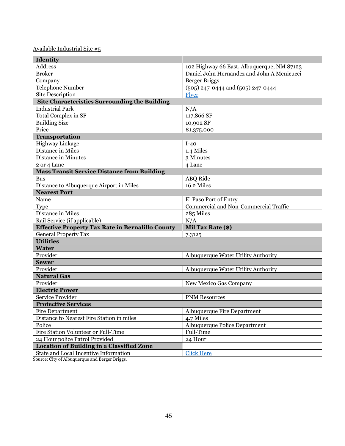| Identity                                                |                                              |
|---------------------------------------------------------|----------------------------------------------|
| <b>Address</b>                                          | 102 Highway 66 East, Albuquerque, NM 87123   |
| <b>Broker</b>                                           | Daniel John Hernandez and John A Menicucci   |
| Company                                                 | <b>Berger Briggs</b>                         |
| Telephone Number                                        | (505) 247-0444 and (505) 247-0444            |
| <b>Site Description</b>                                 | Flver                                        |
| <b>Site Characteristics Surrounding the Building</b>    |                                              |
| <b>Industrial Park</b>                                  | N/A                                          |
| <b>Total Complex in SF</b>                              | 117,866 SF                                   |
| <b>Building Size</b>                                    | 10,902 SF                                    |
| Price                                                   | \$1,375,000                                  |
| <b>Transportation</b>                                   |                                              |
| Highway Linkage                                         | $I-40$                                       |
| Distance in Miles                                       | 1.4 Miles                                    |
| Distance in Minutes                                     | 3 Minutes                                    |
| 2 or 4 Lane                                             | 4 Lane                                       |
| <b>Mass Transit Service Distance from Building</b>      |                                              |
| <b>Bus</b>                                              | <b>ABQ</b> Ride                              |
| Distance to Albuquerque Airport in Miles                | 16.2 Miles                                   |
| <b>Nearest Port</b>                                     |                                              |
| Name                                                    | El Paso Port of Entry                        |
| Type                                                    | <b>Commercial and Non-Commercial Traffic</b> |
| Distance in Miles                                       | 285 Miles                                    |
| Rail Service (if applicable)                            | N/A                                          |
| <b>Effective Property Tax Rate in Bernalillo County</b> | Mil Tax Rate (\$)                            |
| <b>General Property Tax</b>                             | 7.3125                                       |
| <b>Utilities</b>                                        |                                              |
| <b>Water</b>                                            |                                              |
| Provider                                                | Albuquerque Water Utility Authority          |
| <b>Sewer</b>                                            |                                              |
| Provider                                                | Albuquerque Water Utility Authority          |
| <b>Natural Gas</b>                                      |                                              |
| Provider                                                | New Mexico Gas Company                       |
| <b>Electric Power</b>                                   |                                              |
| Service Provider                                        | <b>PNM Resources</b>                         |
| <b>Protective Services</b>                              |                                              |
| <b>Fire Department</b>                                  | <b>Albuquerque Fire Department</b>           |
| Distance to Nearest Fire Station in miles               | 4.7 Miles                                    |
| Police                                                  | <b>Albuquerque Police Department</b>         |
| Fire Station Volunteer or Full-Time                     | Full-Time                                    |
| 24 Hour police Patrol Provided                          | 24 Hour                                      |
| <b>Location of Building in a Classified Zone</b>        |                                              |
| State and Local Incentive Information                   | <b>Click Here</b>                            |

Source: City of Albuquerque and Berger Briggs.